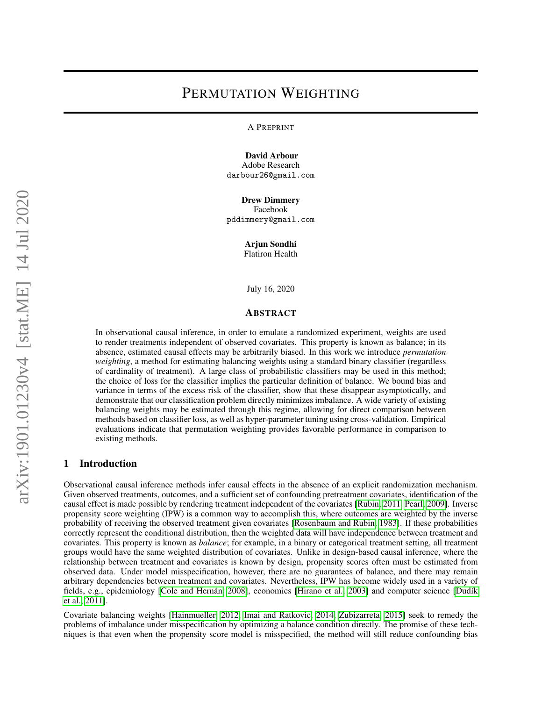# PERMUTATION WEIGHTING

A PREPRINT

David Arbour Adobe Research

darbour26@gmail.com

Drew Dimmery Facebook pddimmery@gmail.com

Arjun Sondhi

Flatiron Health

July 16, 2020

#### ABSTRACT

In observational causal inference, in order to emulate a randomized experiment, weights are used to render treatments independent of observed covariates. This property is known as balance; in its absence, estimated causal effects may be arbitrarily biased. In this work we introduce *permutation weighting*, a method for estimating balancing weights using a standard binary classifier (regardless of cardinality of treatment). A large class of probabilistic classifiers may be used in this method; the choice of loss for the classifier implies the particular definition of balance. We bound bias and variance in terms of the excess risk of the classifier, show that these disappear asymptotically, and demonstrate that our classification problem directly minimizes imbalance. A wide variety of existing balancing weights may be estimated through this regime, allowing for direct comparison between methods based on classifier loss, as well as hyper-parameter tuning using cross-validation. Empirical evaluations indicate that permutation weighting provides favorable performance in comparison to existing methods.

#### 1 Introduction

Observational causal inference methods infer causal effects in the absence of an explicit randomization mechanism. Given observed treatments, outcomes, and a sufficient set of confounding pretreatment covariates, identification of the causal effect is made possible by rendering treatment independent of the covariates [\[Rubin, 2011,](#page-13-0) [Pearl, 2009\]](#page-13-1). Inverse propensity score weighting (IPW) is a common way to accomplish this, where outcomes are weighted by the inverse probability of receiving the observed treatment given covariates [\[Rosenbaum and Rubin, 1983\]](#page-13-2). If these probabilities correctly represent the conditional distribution, then the weighted data will have independence between treatment and covariates. This property is known as *balance*; for example, in a binary or categorical treatment setting, all treatment groups would have the same weighted distribution of covariates. Unlike in design-based causal inference, where the relationship between treatment and covariates is known by design, propensity scores often must be estimated from observed data. Under model misspecification, however, there are no guarantees of balance, and there may remain arbitrary dependencies between treatment and covariates. Nevertheless, IPW has become widely used in a variety of fields, e.g., epidemiology [Cole and Hernán, 2008], economics [\[Hirano et al., 2003\]](#page-13-4) and computer science [\[Dud](#page-13-5)ík [et al., 2011\]](#page-13-5).

Covariate balancing weights [\[Hainmueller, 2012,](#page-13-6) [Imai and Ratkovic, 2014,](#page-13-7) [Zubizarreta, 2015\]](#page-13-8) seek to remedy the problems of imbalance under misspecification by optimizing a balance condition directly. The promise of these techniques is that even when the propensity score model is misspecified, the method will still reduce confounding bias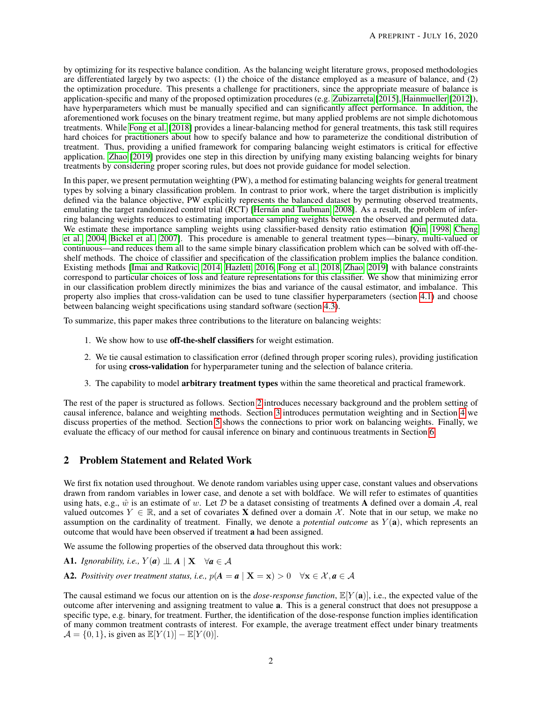by optimizing for its respective balance condition. As the balancing weight literature grows, proposed methodologies are differentiated largely by two aspects: (1) the choice of the distance employed as a measure of balance, and (2) the optimization procedure. This presents a challenge for practitioners, since the appropriate measure of balance is application-specific and many of the proposed optimization procedures (e.g. [Zubizarreta](#page-13-8) [\[2015\]](#page-13-8), [Hainmueller](#page-13-6) [\[2012\]](#page-13-6)), have hyperparameters which must be manually specified and can significantly affect performance. In addition, the aforementioned work focuses on the binary treatment regime, but many applied problems are not simple dichotomous treatments. While [Fong et al.](#page-13-9) [\[2018\]](#page-13-9) provides a linear-balancing method for general treatments, this task still requires hard choices for practitioners about how to specify balance and how to parameterize the conditional distribution of treatment. Thus, providing a unified framework for comparing balancing weight estimators is critical for effective application. [Zhao](#page-13-10) [\[2019\]](#page-13-10) provides one step in this direction by unifying many existing balancing weights for binary treatments by considering proper scoring rules, but does not provide guidance for model selection.

In this paper, we present permutation weighting (PW), a method for estimating balancing weights for general treatment types by solving a binary classification problem. In contrast to prior work, where the target distribution is implicitly defined via the balance objective, PW explicitly represents the balanced dataset by permuting observed treatments, emulating the target randomized control trial (RCT) [Hernán and Taubman, 2008]. As a result, the problem of inferring balancing weights reduces to estimating importance sampling weights between the observed and permuted data. We estimate these importance sampling weights using classifier-based density ratio estimation [\[Qin, 1998,](#page-13-12) [Cheng](#page-13-13) [et al., 2004,](#page-13-13) [Bickel et al., 2007\]](#page-13-14). This procedure is amenable to general treatment types—binary, multi-valued or continuous—and reduces them all to the same simple binary classification problem which can be solved with off-theshelf methods. The choice of classifier and specification of the classification problem implies the balance condition. Existing methods [\[Imai and Ratkovic, 2014,](#page-13-7) [Hazlett, 2016,](#page-13-15) [Fong et al., 2018,](#page-13-9) [Zhao, 2019\]](#page-13-10) with balance constraints correspond to particular choices of loss and feature representations for this classifier. We show that minimizing error in our classification problem directly minimizes the bias and variance of the causal estimator, and imbalance. This property also implies that cross-validation can be used to tune classifier hyperparameters (section [4.1\)](#page-5-0) and choose between balancing weight specifications using standard software (section [4.3\)](#page-6-0).

To summarize, this paper makes three contributions to the literature on balancing weights:

- 1. We show how to use off-the-shelf classifiers for weight estimation.
- 2. We tie causal estimation to classification error (defined through proper scoring rules), providing justification for using cross-validation for hyperparameter tuning and the selection of balance criteria.
- 3. The capability to model arbitrary treatment types within the same theoretical and practical framework.

The rest of the paper is structured as follows. Section [2](#page-1-0) introduces necessary background and the problem setting of causal inference, balance and weighting methods. Section [3](#page-3-0) introduces permutation weighting and in Section [4](#page-4-0) we discuss properties of the method. Section [5](#page-7-0) shows the connections to prior work on balancing weights. Finally, we evaluate the efficacy of our method for causal inference on binary and continuous treatments in Section [6.](#page-7-1)

## <span id="page-1-0"></span>2 Problem Statement and Related Work

We first fix notation used throughout. We denote random variables using upper case, constant values and observations drawn from random variables in lower case, and denote a set with boldface. We will refer to estimates of quantities using hats, e.g.,  $\hat{w}$  is an estimate of w. Let D be a dataset consisting of treatments A defined over a domain A, real valued outcomes  $Y \in \mathbb{R}$ , and a set of covariates **X** defined over a domain X. Note that in our setup, we make no assumption on the cardinality of treatment. Finally, we denote a *potential outcome* as Y (a), which represents an outcome that would have been observed if treatment a had been assigned.

We assume the following properties of the observed data throughout this work:

- <span id="page-1-2"></span>A1. *Ignorability, i.e.,*  $Y(a) \perp A \mid X \quad \forall a \in A$
- <span id="page-1-1"></span>A2. Positivity over treatment status, i.e.,  $p(A = a | X = x) > 0 \quad \forall x \in \mathcal{X}, a \in \mathcal{A}$

The causal estimand we focus our attention on is the *dose-response function*,  $\mathbb{E}[Y(\mathbf{a})]$ , i.e., the expected value of the outcome after intervening and assigning treatment to value a. This is a general construct that does not presuppose a specific type, e.g. binary, for treatment. Further, the identification of the dose-response function implies identification of many common treatment contrasts of interest. For example, the average treatment effect under binary treatments  $A = \{0, 1\}$ , is given as  $\mathbb{E}[Y(1)] - \mathbb{E}[Y(0)]$ .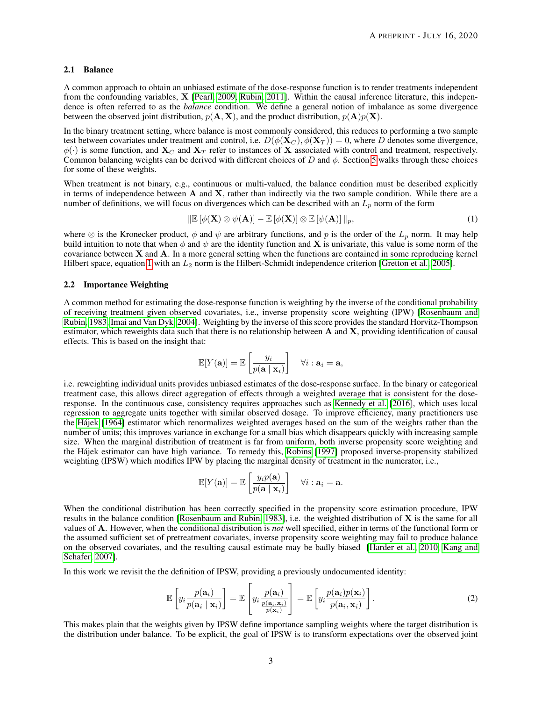#### 2.1 Balance

A common approach to obtain an unbiased estimate of the dose-response function is to render treatments independent from the confounding variables, X [\[Pearl, 2009,](#page-13-1) [Rubin, 2011\]](#page-13-0). Within the causal inference literature, this independence is often referred to as the *balance* condition. We define a general notion of imbalance as some divergence between the observed joint distribution,  $p(\mathbf{A}, \mathbf{X})$ , and the product distribution,  $p(\mathbf{A})p(\mathbf{X})$ .

In the binary treatment setting, where balance is most commonly considered, this reduces to performing a two sample test between covariates under treatment and control, i.e.  $D(\phi(\mathbf{X}_C), \phi(\mathbf{X}_T)) = 0$ , where D denotes some divergence,  $\phi(\cdot)$  is some function, and  $\mathbf{X}_C$  and  $\mathbf{X}_T$  refer to instances of X associated with control and treatment, respectively. Common balancing weights can be derived with different choices of D and  $\phi$ . Section [5](#page-7-0) walks through these choices for some of these weights.

When treatment is not binary, e.g., continuous or multi-valued, the balance condition must be described explicitly in terms of independence between  $A$  and  $X$ , rather than indirectly via the two sample condition. While there are a number of definitions, we will focus on divergences which can be described with an  $L_p$  norm of the form

<span id="page-2-0"></span>
$$
\|\mathbb{E}\left[\phi(\mathbf{X})\otimes\psi(\mathbf{A})\right]-\mathbb{E}\left[\phi(\mathbf{X})\right]\otimes\mathbb{E}\left[\psi(\mathbf{A})\right]\|_{p},\tag{1}
$$

where  $\otimes$  is the Kronecker product,  $\phi$  and  $\psi$  are arbitrary functions, and p is the order of the  $L_p$  norm. It may help build intuition to note that when  $\phi$  and  $\psi$  are the identity function and **X** is univariate, this value is some norm of the covariance between X and A. In a more general setting when the functions are contained in some reproducing kernel Hilbert space, equation [1](#page-2-0) with an  $L_2$  norm is the Hilbert-Schmidt independence criterion [\[Gretton et al., 2005\]](#page-13-16).

#### 2.2 Importance Weighting

A common method for estimating the dose-response function is weighting by the inverse of the conditional probability of receiving treatment given observed covariates, i.e., inverse propensity score weighting (IPW) [\[Rosenbaum and](#page-13-2) [Rubin, 1983,](#page-13-2) [Imai and Van Dyk, 2004\]](#page-13-17). Weighting by the inverse of this score provides the standard Horvitz-Thompson estimator, which reweights data such that there is no relationship between  $A$  and  $X$ , providing identification of causal effects. This is based on the insight that:

$$
\mathbb{E}[Y(\mathbf{a})] = \mathbb{E}\left[\frac{y_i}{p(\mathbf{a} \mid \mathbf{x}_i)}\right] \quad \forall i : \mathbf{a}_i = \mathbf{a},
$$

i.e. reweighting individual units provides unbiased estimates of the dose-response surface. In the binary or categorical treatment case, this allows direct aggregation of effects through a weighted average that is consistent for the doseresponse. In the continuous case, consistency requires approaches such as [Kennedy et al.](#page-13-18) [\[2016\]](#page-13-18), which uses local regression to aggregate units together with similar observed dosage. To improve efficiency, many practitioners use the [Hajek](#page-13-19) [\[1964\]](#page-13-19) estimator which renormalizes weighted averages based on the sum of the weights rather than the ´ number of units; this improves variance in exchange for a small bias which disappears quickly with increasing sample size. When the marginal distribution of treatment is far from uniform, both inverse propensity score weighting and the Hajek estimator can have high variance. To remedy this, [Robins](#page-13-20) [\[1997\]](#page-13-20) proposed inverse-propensity stabilized ´ weighting (IPSW) which modifies IPW by placing the marginal density of treatment in the numerator, i.e.,

<span id="page-2-1"></span>
$$
\mathbb{E}[Y(\mathbf{a})] = \mathbb{E}\left[\frac{y_i p(\mathbf{a})}{p(\mathbf{a} \mid \mathbf{x}_i)}\right] \quad \forall i : \mathbf{a}_i = \mathbf{a}.
$$

When the conditional distribution has been correctly specified in the propensity score estimation procedure, IPW results in the balance condition [\[Rosenbaum and Rubin, 1983\]](#page-13-2), i.e. the weighted distribution of X is the same for all values of A. However, when the conditional distribution is *not* well specified, either in terms of the functional form or the assumed sufficient set of pretreatment covariates, inverse propensity score weighting may fail to produce balance on the observed covariates, and the resulting causal estimate may be badly biased [\[Harder et al., 2010,](#page-13-21) [Kang and](#page-13-22) [Schafer, 2007\]](#page-13-22).

In this work we revisit the the definition of IPSW, providing a previously undocumented identity:

$$
\mathbb{E}\left[y_i \frac{p(\mathbf{a}_i)}{p(\mathbf{a}_i \mid \mathbf{x}_i)}\right] = \mathbb{E}\left[y_i \frac{p(\mathbf{a}_i)}{\frac{p(\mathbf{a}_i, \mathbf{x}_i)}{p(\mathbf{x}_i)}}\right] = \mathbb{E}\left[y_i \frac{p(\mathbf{a}_i)p(\mathbf{x}_i)}{p(\mathbf{a}_i, \mathbf{x}_i)}\right].
$$
\n(2)

This makes plain that the weights given by IPSW define importance sampling weights where the target distribution is the distribution under balance. To be explicit, the goal of IPSW is to transform expectations over the observed joint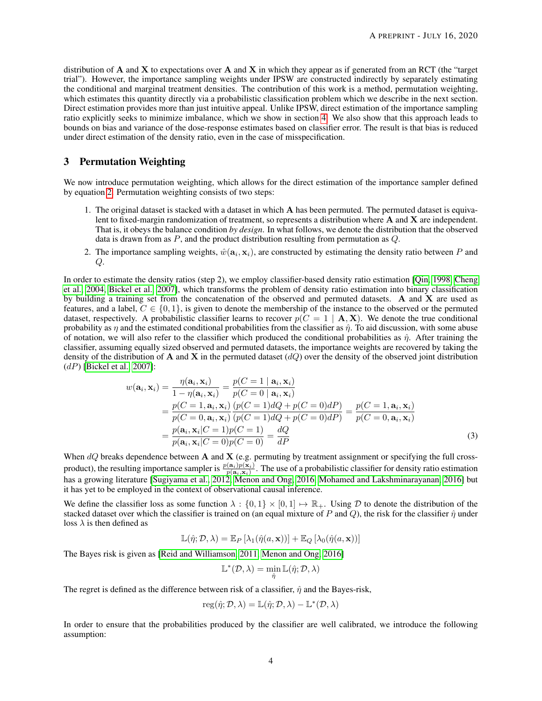distribution of A and X to expectations over A and X in which they appear as if generated from an RCT (the "target trial"). However, the importance sampling weights under IPSW are constructed indirectly by separately estimating the conditional and marginal treatment densities. The contribution of this work is a method, permutation weighting, which estimates this quantity directly via a probabilistic classification problem which we describe in the next section. Direct estimation provides more than just intuitive appeal. Unlike IPSW, direct estimation of the importance sampling ratio explicitly seeks to minimize imbalance, which we show in section [4.](#page-4-0) We also show that this approach leads to bounds on bias and variance of the dose-response estimates based on classifier error. The result is that bias is reduced under direct estimation of the density ratio, even in the case of misspecification.

## <span id="page-3-0"></span>3 Permutation Weighting

We now introduce permutation weighting, which allows for the direct estimation of the importance sampler defined by equation [2.](#page-2-1) Permutation weighting consists of two steps:

- 1. The original dataset is stacked with a dataset in which  $\bf{A}$  has been permuted. The permuted dataset is equivalent to fixed-margin randomization of treatment, so represents a distribution where  $A$  and  $X$  are independent. That is, it obeys the balance condition *by design*. In what follows, we denote the distribution that the observed data is drawn from as  $P$ , and the product distribution resulting from permutation as  $Q$ .
- 2. The importance sampling weights,  $\hat{w}(\mathbf{a}_i, \mathbf{x}_i)$ , are constructed by estimating the density ratio between P and Q.

In order to estimate the density ratios (step 2), we employ classifier-based density ratio estimation [\[Qin, 1998,](#page-13-12) [Cheng](#page-13-13) [et al., 2004,](#page-13-13) [Bickel et al., 2007\]](#page-13-14), which transforms the problem of density ratio estimation into binary classification by building a training set from the concatenation of the observed and permuted datasets. A and X are used as features, and a label,  $C \in \{0, 1\}$ , is given to denote the membership of the instance to the observed or the permuted dataset, respectively. A probabilistic classifier learns to recover  $p(C = 1 | A, X)$ . We denote the true conditional probability as  $\eta$  and the estimated conditional probabilities from the classifier as  $\hat{\eta}$ . To aid discussion, with some abuse of notation, we will also refer to the classifier which produced the conditional probabilities as  $\hat{\eta}$ . After training the classifier, assuming equally sized observed and permuted datasets, the importance weights are recovered by taking the density of the distribution of **A** and **X** in the permuted dataset  $(dQ)$  over the density of the observed joint distribution  $(dP)$  [\[Bickel et al., 2007\]](#page-13-14):

$$
w(\mathbf{a}_i, \mathbf{x}_i) = \frac{\eta(\mathbf{a}_i, \mathbf{x}_i)}{1 - \eta(\mathbf{a}_i, \mathbf{x}_i)} = \frac{p(C = 1 | \mathbf{a}_i, \mathbf{x}_i)}{p(C = 0 | \mathbf{a}_i, \mathbf{x}_i)}
$$
  
= 
$$
\frac{p(C = 1, \mathbf{a}_i, \mathbf{x}_i)}{p(C = 0, \mathbf{a}_i, \mathbf{x}_i)} \frac{(p(C = 1)dQ + p(C = 0)dP)}{(p(C = 1)dQ + p(C = 0)dP)} = \frac{p(C = 1, \mathbf{a}_i, \mathbf{x}_i)}{p(C = 0, \mathbf{a}_i, \mathbf{x}_i)}
$$
  
= 
$$
\frac{p(\mathbf{a}_i, \mathbf{x}_i|C = 1)p(C = 1)}{p(\mathbf{a}_i, \mathbf{x}_i|C = 0)p(C = 0)} = \frac{dQ}{dP}
$$
(3)

When  $dQ$  breaks dependence between A and X (e.g. permuting by treatment assignment or specifying the full crossproduct), the resulting importance sampler is  $\frac{p(a_i)p(x_i)}{p(a_i,x_i)}$ . The use of a probabilistic classifier for density ratio estimation has a growing literature [\[Sugiyama et al., 2012,](#page-14-0) [Menon and Ong, 2016,](#page-14-1) [Mohamed and Lakshminarayanan, 2016\]](#page-14-2) but it has yet to be employed in the context of observational causal inference.

We define the classifier loss as some function  $\lambda : \{0,1\} \times [0,1] \mapsto \mathbb{R}_+$ . Using D to denote the distribution of the stacked dataset over which the classifier is trained on (an equal mixture of P and Q), the risk for the classifier  $\hat{\eta}$  under loss  $\lambda$  is then defined as

 $\mathbb{L}(\hat{\eta}; \mathcal{D}, \lambda) = \mathbb{E}_P [\lambda_1(\hat{\eta}(a, \mathbf{x}))] + \mathbb{E}_Q [\lambda_0(\hat{\eta}(a, \mathbf{x}))]$ 

The Bayes risk is given as [\[Reid and Williamson, 2011,](#page-14-3) [Menon and Ong, 2016\]](#page-14-1)

$$
\mathbb{L}^*(\mathcal{D},\lambda)=\min_{\hat{\eta}}\mathbb{L}(\hat{\eta};\mathcal{D},\lambda)
$$

The regret is defined as the difference between risk of a classifier,  $\hat{\eta}$  and the Bayes-risk,

$$
reg(\hat{\eta}; \mathcal{D}, \lambda) = \mathbb{L}(\hat{\eta}; \mathcal{D}, \lambda) - \mathbb{L}^*(\mathcal{D}, \lambda)
$$

<span id="page-3-1"></span>In order to ensure that the probabilities produced by the classifier are well calibrated, we introduce the following assumption: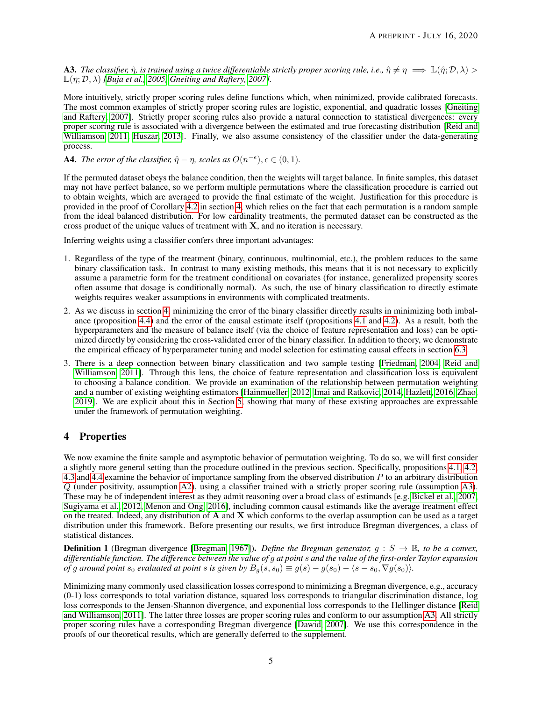**A3.** The classifier,  $\hat{\eta}$ , is trained using a twice differentiable strictly proper scoring rule, i.e.,  $\hat{\eta} \neq \eta \implies \mathbb{L}(\hat{\eta}; \mathcal{D}, \lambda) >$  $\mathbb{L}(n; \mathcal{D}, \lambda)$  *[\[Buja et al., 2005,](#page-14-4) [Gneiting and Raftery, 2007\]](#page-14-5).* 

More intuitively, strictly proper scoring rules define functions which, when minimized, provide calibrated forecasts. The most common examples of strictly proper scoring rules are logistic, exponential, and quadratic losses [\[Gneiting](#page-14-5) [and Raftery, 2007\]](#page-14-5). Strictly proper scoring rules also provide a natural connection to statistical divergences: every proper scoring rule is associated with a divergence between the estimated and true forecasting distribution [\[Reid and](#page-14-3) [Williamson, 2011,](#page-14-3) [Huszar, 2013\]](#page-14-6). Finally, we also assume consistency of the classifier under the data-generating process.

<span id="page-4-1"></span>**A4.** *The error of the classifier,*  $\hat{\eta} - \eta$ *, scales as*  $O(n^{-\epsilon})$ *,*  $\epsilon \in (0,1)$ *.* 

If the permuted dataset obeys the balance condition, then the weights will target balance. In finite samples, this dataset may not have perfect balance, so we perform multiple permutations where the classification procedure is carried out to obtain weights, which are averaged to provide the final estimate of the weight. Justification for this procedure is provided in the proof of Corollary [4.2](#page-6-1) in section [4,](#page-4-0) which relies on the fact that each permutation is a random sample from the ideal balanced distribution. For low cardinality treatments, the permuted dataset can be constructed as the cross product of the unique values of treatment with  $X$ , and no iteration is necessary.

Inferring weights using a classifier confers three important advantages:

- 1. Regardless of the type of the treatment (binary, continuous, multinomial, etc.), the problem reduces to the same binary classification task. In contrast to many existing methods, this means that it is not necessary to explicitly assume a parametric form for the treatment conditional on covariates (for instance, generalized propensity scores often assume that dosage is conditionally normal). As such, the use of binary classification to directly estimate weights requires weaker assumptions in environments with complicated treatments.
- 2. As we discuss in section [4,](#page-4-0) minimizing the error of the binary classifier directly results in minimizing both imbalance (proposition [4.4\)](#page-5-1) and the error of the causal estimate itself (propositions [4.1](#page-5-2) and [4.2\)](#page-5-3). As a result, both the hyperparameters and the measure of balance itself (via the choice of feature representation and loss) can be optimized directly by considering the cross-validated error of the binary classifier. In addition to theory, we demonstrate the empirical efficacy of hyperparameter tuning and model selection for estimating causal effects in section [6.3.](#page-10-0)
- 3. There is a deep connection between binary classification and two sample testing [\[Friedman, 2004,](#page-14-7) [Reid and](#page-14-3) [Williamson, 2011\]](#page-14-3). Through this lens, the choice of feature representation and classification loss is equivalent to choosing a balance condition. We provide an examination of the relationship between permutation weighting and a number of existing weighting estimators [\[Hainmueller, 2012,](#page-13-6) [Imai and Ratkovic, 2014,](#page-13-7) [Hazlett, 2016,](#page-13-15) [Zhao,](#page-13-10) [2019\]](#page-13-10). We are explicit about this in Section [5,](#page-7-0) showing that many of these existing approaches are expressable under the framework of permutation weighting.

# <span id="page-4-0"></span>4 Properties

We now examine the finite sample and asymptotic behavior of permutation weighting. To do so, we will first consider a slightly more general setting than the procedure outlined in the previous section. Specifically, propositions [4.1,](#page-5-2) [4.2,](#page-5-3) [4.3](#page-5-4) and [4.4](#page-5-1) examine the behavior of importance sampling from the observed distribution  $P$  to an arbitrary distribution Q (under positivity, assumption [A2\)](#page-1-1), using a classifier trained with a strictly proper scoring rule (assumption [A3\)](#page-3-1). These may be of independent interest as they admit reasoning over a broad class of estimands [e.g. [Bickel et al., 2007,](#page-13-14) [Sugiyama et al., 2012,](#page-14-0) [Menon and Ong, 2016\]](#page-14-1), including common causal estimands like the average treatment effect on the treated. Indeed, any distribution of  $A$  and  $X$  which conforms to the overlap assumption can be used as a target distribution under this framework. Before presenting our results, we first introduce Bregman divergences, a class of statistical distances.

**Definition 1** (Bregman divergence [\[Bregman, 1967\]](#page-14-8)). *Define the Bregman generator,*  $g : S \to \mathbb{R}$ , to be a convex, *differentiable function. The difference between the value of* g *at point* s *and the value of the first-order Taylor expansion of* g around point s<sub>0</sub> evaluated at point s is given by  $B_q(s, s_0) \equiv g(s) - g(s_0) - \langle s - s_0, \nabla g(s_0) \rangle$ .

Minimizing many commonly used classification losses correspond to minimizing a Bregman divergence, e.g., accuracy  $(0-1)$  loss corresponds to total variation distance, squared loss corresponds to triangular discrimination distance, log loss corresponds to the Jensen-Shannon divergence, and exponential loss corresponds to the Hellinger distance [\[Reid](#page-14-3) [and Williamson, 2011\]](#page-14-3). The latter three losses are proper scoring rules and conform to our assumption [A3.](#page-3-1) All strictly proper scoring rules have a corresponding Bregman divergence [\[Dawid, 2007\]](#page-14-9). We use this correspondence in the proofs of our theoretical results, which are generally deferred to the supplement.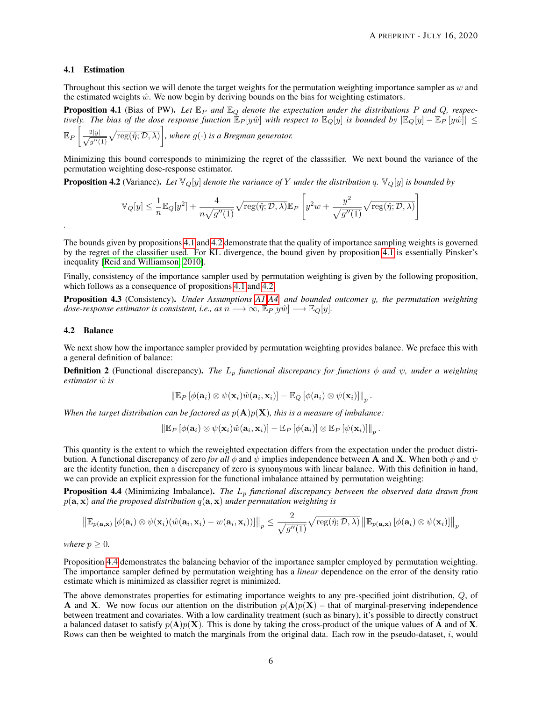#### <span id="page-5-0"></span>4.1 Estimation

Throughout this section we will denote the target weights for the permutation weighting importance sampler as w and the estimated weights  $\hat{w}$ . We now begin by deriving bounds on the bias for weighting estimators.

<span id="page-5-2"></span>**Proposition 4.1** (Bias of PW). Let  $\mathbb{E}_P$  and  $\mathbb{E}_Q$  denote the expectation under the distributions P and Q, respec*tively. The bias of the dose response function*  $E_P[y\hat{w}]$  *with respect to*  $E_Q[y]$  *is bounded by*  $|E_Q[y] - E_P[y\hat{w}]| \le$  $\mathbb{E}_P\left[\frac{2|y|}{\sqrt{y}}\right]$  $\frac{2|y|}{g''(1)}\sqrt{\text{reg}(\hat{\eta};\mathcal{D},\lambda)}\bigg]$ , where  $g(\cdot)$  is a Bregman generator.

Minimizing this bound corresponds to minimizing the regret of the classsifier. We next bound the variance of the permutation weighting dose-response estimator.

<span id="page-5-3"></span>**Proposition 4.2** (Variance). Let  $\mathbb{V}_Q[y]$  denote the variance of Y under the distribution q.  $\mathbb{V}_Q[y]$  is bounded by

$$
\mathbb{V}_Q[y] \leq \frac{1}{n} \mathbb{E}_Q[y^2] + \frac{4}{n\sqrt{g''(1)}} \sqrt{\text{reg}(\hat{\eta}; \mathcal{D}, \lambda)} \mathbb{E}_P\left[ y^2 w + \frac{y^2}{\sqrt{g''(1)}} \sqrt{\text{reg}(\hat{\eta}; \mathcal{D}, \lambda)} \right]
$$

The bounds given by propositions [4.1](#page-5-2) and [4.2](#page-5-3) demonstrate that the quality of importance sampling weights is governed by the regret of the classifier used. For KL divergence, the bound given by proposition [4.1](#page-5-2) is essentially Pinsker's inequality [\[Reid and Williamson, 2010\]](#page-14-10).

Finally, consistency of the importance sampler used by permutation weighting is given by the following proposition, which follows as a consequence of propositions [4.1](#page-5-2) and [4.2:](#page-5-3)

<span id="page-5-4"></span>Proposition 4.3 (Consistency). *Under Assumptions [A1](#page-1-2)[-A4,](#page-4-1) and bounded outcomes* y*, the permutation weighting dose-response estimator is consistent, i.e., as*  $n \longrightarrow \infty$ ,  $\mathbb{E}_P[y\hat{w}] \longrightarrow \mathbb{E}_Q[y]$ *.* 

#### 4.2 Balance

*.*

We next show how the importance sampler provided by permutation weighting provides balance. We preface this with a general definition of balance:

**Definition 2** (Functional discrepancy). *The*  $L_p$  *functional discrepancy for functions*  $\phi$  *and*  $\psi$ *, under a weighting estimator*  $\hat{w}$  *is* 

$$
\left\|\mathbb{E}_{P}\left[\phi(\mathbf{a}_i)\otimes\psi(\mathbf{x}_i)\hat{w}(\mathbf{a}_i,\mathbf{x}_i)\right]-\mathbb{E}_{Q}\left[\phi(\mathbf{a}_i)\otimes\psi(\mathbf{x}_i)\right]\right\|_p.
$$

When the target distribution can be factored as  $p(\mathbf{A})p(\mathbf{X})$ , this is a measure of imbalance:

$$
\left\|\mathbb{E}_{P}\left[\phi(\mathbf{a}_i)\otimes\psi(\mathbf{x}_i)\hat{w}(\mathbf{a}_i,\mathbf{x}_i)\right]-\mathbb{E}_{P}\left[\phi(\mathbf{a}_i)\right]\otimes\mathbb{E}_{P}\left[\psi(\mathbf{x}_i)\right]\right\|_p.
$$

This quantity is the extent to which the reweighted expectation differs from the expectation under the product distribution. A functional discrepancy of zero *for all*  $\phi$  and  $\psi$  implies independence between **A** and **X**. When both  $\phi$  and  $\psi$ are the identity function, then a discrepancy of zero is synonymous with linear balance. With this definition in hand, we can provide an explicit expression for the functional imbalance attained by permutation weighting:

<span id="page-5-1"></span>Proposition 4.4 (Minimizing Imbalance). *The L<sub>p</sub> functional discrepancy between the observed data drawn from*  $p(\mathbf{a}, \mathbf{x})$  *and the proposed distribution*  $q(\mathbf{a}, \mathbf{x})$  *under permutation weighting is* 

$$
\left\|\mathbb{E}_{p(\mathbf{a},\mathbf{x})}\left[\phi(\mathbf{a}_i)\otimes\psi(\mathbf{x}_i)(\hat{w}(\mathbf{a}_i,\mathbf{x}_i)-w(\mathbf{a}_i,\mathbf{x}_i))\right]\right\|_p \leq \frac{2}{\sqrt{g''(1)}}\sqrt{\text{reg}(\hat{\eta};\mathcal{D},\lambda)}\left\|\mathbb{E}_{p(\mathbf{a},\mathbf{x})}\left[\phi(\mathbf{a}_i)\otimes\psi(\mathbf{x}_i)\right]\right\|_p
$$

*where*  $p \geq 0$ *.* 

Proposition [4.4](#page-5-1) demonstrates the balancing behavior of the importance sampler employed by permutation weighting. The importance sampler defined by permutation weighting has a *linear* dependence on the error of the density ratio estimate which is minimized as classifier regret is minimized.

The above demonstrates properties for estimating importance weights to any pre-specified joint distribution, Q, of A and X. We now focus our attention on the distribution  $p(A)p(X)$  – that of marginal-preserving independence between treatment and covariates. With a low cardinality treatment (such as binary), it's possible to directly construct a balanced dataset to satisfy  $p(A)p(X)$ . This is done by taking the cross-product of the unique values of A and of X. Rows can then be weighted to match the marginals from the original data. Each row in the pseudo-dataset, i, would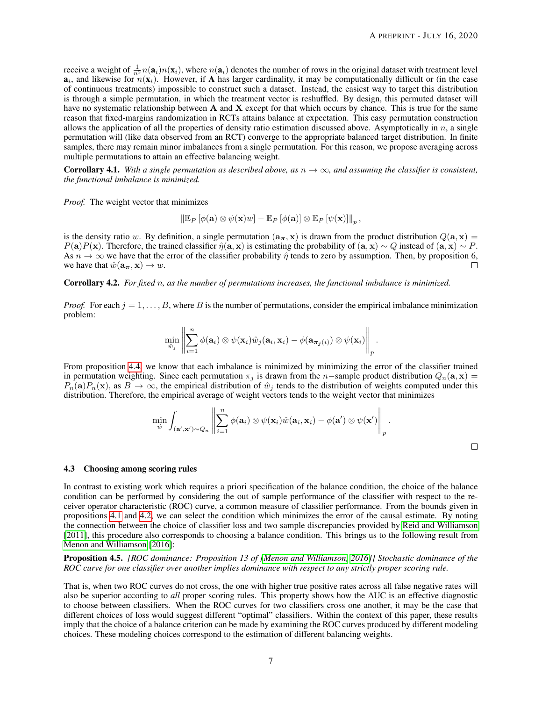receive a weight of  $\frac{1}{n^2}n(\mathbf{a}_i)n(\mathbf{x}_i)$ , where  $n(\mathbf{a}_i)$  denotes the number of rows in the original dataset with treatment level  $a_i$ , and likewise for  $n(\mathbf{x}_i)$ . However, if A has larger cardinality, it may be computationally difficult or (in the case of continuous treatments) impossible to construct such a dataset. Instead, the easiest way to target this distribution is through a simple permutation, in which the treatment vector is reshuffled. By design, this permuted dataset will have no systematic relationship between  $A$  and  $X$  except for that which occurs by chance. This is true for the same reason that fixed-margins randomization in RCTs attains balance at expectation. This easy permutation construction allows the application of all the properties of density ratio estimation discussed above. Asymptotically in  $n$ , a single permutation will (like data observed from an RCT) converge to the appropriate balanced target distribution. In finite samples, there may remain minor imbalances from a single permutation. For this reason, we propose averaging across multiple permutations to attain an effective balancing weight.

**Corrollary 4.1.** With a single permutation as described above, as  $n \to \infty$ , and assuming the classifier is consistent, *the functional imbalance is minimized.*

*Proof.* The weight vector that minimizes

 $\left\| \mathbb{E}_P \left[ \phi(\mathbf{a}) \otimes \psi(\mathbf{x})w \right] - \mathbb{E}_P \left[ \phi(\mathbf{a}) \right] \otimes \mathbb{E}_P \left[ \psi(\mathbf{x}) \right] \right\|_p,$ 

is the density ratio w. By definition, a single permutation  $(a_{\pi}, x)$  is drawn from the product distribution  $Q(a, x)$  =  $P(a)P(x)$ . Therefore, the trained classifier  $\hat{\eta}(a, x)$  is estimating the probability of  $(a, x) \sim Q$  instead of  $(a, x) \sim P$ . As  $n \to \infty$  we have that the error of the classifier probability  $\hat{\eta}$  tends to zero by assumption. Then, by proposition 6, we have that  $\hat{w}(\mathbf{a}_{\pi}, \mathbf{x}) \rightarrow w$ .  $\Box$ 

<span id="page-6-1"></span>Corrollary 4.2. *For fixed* n*, as the number of permutations increases, the functional imbalance is minimized.*

*Proof.* For each  $j = 1, \ldots, B$ , where B is the number of permutations, consider the empirical imbalance minimization problem:

$$
\min_{\hat{w}_j} \left\| \sum_{i=1}^n \phi(\mathbf{a}_i) \otimes \psi(\mathbf{x}_i) \hat{w}_j(\mathbf{a}_i, \mathbf{x}_i) - \phi(\mathbf{a}_{\boldsymbol{\pi}_j(i)}) \otimes \psi(\mathbf{x}_i) \right\|_p.
$$

From proposition [4.4,](#page-5-1) we know that each imbalance is minimized by minimizing the error of the classifier trained in permutation weighting. Since each permutation  $\pi_i$  is drawn from the n–sample product distribution  $Q_n(\mathbf{a}, \mathbf{x}) =$  $P_n(\mathbf{a})P_n(\mathbf{x})$ , as  $B \to \infty$ , the empirical distribution of  $\hat{w}_i$  tends to the distribution of weights computed under this distribution. Therefore, the empirical average of weight vectors tends to the weight vector that minimizes

$$
\min_{\hat{w}} \int_{(\mathbf{a}', \mathbf{x}') \sim Q_n} \left\| \sum_{i=1}^n \phi(\mathbf{a}_i) \otimes \psi(\mathbf{x}_i) \hat{w}(\mathbf{a}_i, \mathbf{x}_i) - \phi(\mathbf{a}') \otimes \psi(\mathbf{x}') \right\|_p.
$$

#### <span id="page-6-0"></span>4.3 Choosing among scoring rules

In contrast to existing work which requires a priori specification of the balance condition, the choice of the balance condition can be performed by considering the out of sample performance of the classifier with respect to the receiver operator characteristic (ROC) curve, a common measure of classifier performance. From the bounds given in propositions [4.1](#page-5-2) and [4.2,](#page-5-3) we can select the condition which minimizes the error of the causal estimate. By noting the connection between the choice of classifier loss and two sample discrepancies provided by [Reid and Williamson](#page-14-3) [\[2011\]](#page-14-3), this procedure also corresponds to choosing a balance condition. This brings us to the following result from [Menon and Williamson](#page-14-11) [\[2016\]](#page-14-11):

<span id="page-6-2"></span>Proposition 4.5. *[ROC dominance: Proposition 13 of [\[Menon and Williamson, 2016\]](#page-14-11)] Stochastic dominance of the ROC curve for one classifier over another implies dominance with respect to any strictly proper scoring rule.*

That is, when two ROC curves do not cross, the one with higher true positive rates across all false negative rates will also be superior according to *all* proper scoring rules. This property shows how the AUC is an effective diagnostic to choose between classifiers. When the ROC curves for two classifiers cross one another, it may be the case that different choices of loss would suggest different "optimal" classifiers. Within the context of this paper, these results imply that the choice of a balance criterion can be made by examining the ROC curves produced by different modeling choices. These modeling choices correspond to the estimation of different balancing weights.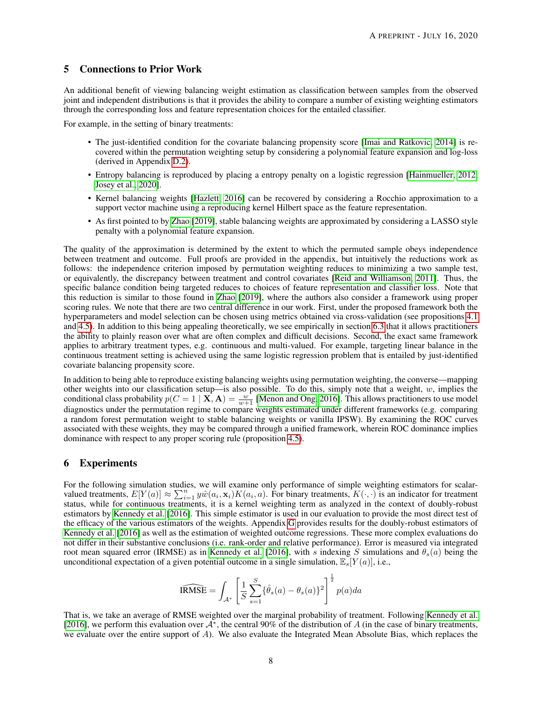## <span id="page-7-0"></span>5 Connections to Prior Work

An additional benefit of viewing balancing weight estimation as classification between samples from the observed joint and independent distributions is that it provides the ability to compare a number of existing weighting estimators through the corresponding loss and feature representation choices for the entailed classifier.

For example, in the setting of binary treatments:

- The just-identified condition for the covariate balancing propensity score [\[Imai and Ratkovic, 2014\]](#page-13-7) is recovered within the permutation weighting setup by considering a polynomial feature expansion and log-loss (derived in Appendix [D.2\)](#page-20-0).
- Entropy balancing is reproduced by placing a entropy penalty on a logistic regression [\[Hainmueller, 2012,](#page-13-6) [Josey et al., 2020\]](#page-14-12).
- Kernel balancing weights [\[Hazlett, 2016\]](#page-13-15) can be recovered by considering a Rocchio approximation to a support vector machine using a reproducing kernel Hilbert space as the feature representation.
- As first pointed to by [Zhao](#page-13-10) [\[2019\]](#page-13-10), stable balancing weights are approximated by considering a LASSO style penalty with a polynomial feature expansion.

The quality of the approximation is determined by the extent to which the permuted sample obeys independence between treatment and outcome. Full proofs are provided in the appendix, but intuitively the reductions work as follows: the independence criterion imposed by permutation weighting reduces to minimizing a two sample test, or equivalently, the discrepancy between treatment and control covariates [\[Reid and Williamson, 2011\]](#page-14-3). Thus, the specific balance condition being targeted reduces to choices of feature representation and classifier loss. Note that this reduction is similar to those found in [Zhao](#page-13-10) [\[2019\]](#page-13-10), where the authors also consider a framework using proper scoring rules. We note that there are two central difference in our work. First, under the proposed framework both the hyperparameters and model selection can be chosen using metrics obtained via cross-validation (see propositions [4.1](#page-5-2) and [4.5\)](#page-6-2). In addition to this being appealing theoretically, we see empirically in section [6.3](#page-10-0) that it allows practitioners the ability to plainly reason over what are often complex and difficult decisions. Second, the exact same framework applies to arbitrary treatment types, e.g. continuous and multi-valued. For example, targeting linear balance in the continuous treatment setting is achieved using the same logistic regression problem that is entailed by just-identified covariate balancing propensity score.

In addition to being able to reproduce existing balancing weights using permutation weighting, the converse—mapping other weights into our classification setup—is also possible. To do this, simply note that a weight,  $w$ , implies the conditional class probability  $p(C=1 | \mathbf{X}, \mathbf{A}) = \frac{w}{w+1}$  [\[Menon and Ong, 2016\]](#page-14-1). This allows practitioners to use model diagnostics under the permutation regime to compare weights estimated under different frameworks (e.g. comparing a random forest permutation weight to stable balancing weights or vanilla IPSW). By examining the ROC curves associated with these weights, they may be compared through a unified framework, wherein ROC dominance implies dominance with respect to any proper scoring rule (proposition [4.5\)](#page-6-2).

# <span id="page-7-1"></span>6 Experiments

For the following simulation studies, we will examine only performance of simple weighting estimators for scalarvalued treatments,  $E[Y(a)] \approx \sum_{i=1}^{n} y \hat{w}(a_i, \mathbf{x}_i) K(a_i, a)$ . For binary treatments,  $K(\cdot, \cdot)$  is an indicator for treatment status, while for continuous treatments, it is a kernel weighting term as analyzed in the context of doubly-robust estimators by [Kennedy et al.](#page-13-18) [\[2016\]](#page-13-18). This simple estimator is used in our evaluation to provide the most direct test of the efficacy of the various estimators of the weights. Appendix [G](#page-25-0) provides results for the doubly-robust estimators of [Kennedy et al.](#page-13-18) [\[2016\]](#page-13-18) as well as the estimation of weighted outcome regressions. These more complex evaluations do not differ in their substantive conclusions (i.e. rank-order and relative performance). Error is measured via integrated root mean squared error (IRMSE) as in [Kennedy et al.](#page-13-18) [\[2016\]](#page-13-18), with s indexing S simulations and  $\theta_s(a)$  being the unconditional expectation of a given potential outcome in a single simulation,  $\mathbb{E}_s[Y(a)]$ , i.e.,

$$
\widehat{\text{IRMSE}} = \int_{\mathcal{A}^*} \left[ \frac{1}{S} \sum_{s=1}^S \{ \hat{\theta}_s(a) - \theta_s(a) \}^2 \right]^{\frac{1}{2}} p(a) da
$$

That is, we take an average of RMSE weighted over the marginal probability of treatment. Following [Kennedy et al.](#page-13-18) [\[2016\]](#page-13-18), we perform this evaluation over  $A^*$ , the central 90% of the distribution of A (in the case of binary treatments, we evaluate over the entire support of A). We also evaluate the Integrated Mean Absolute Bias, which replaces the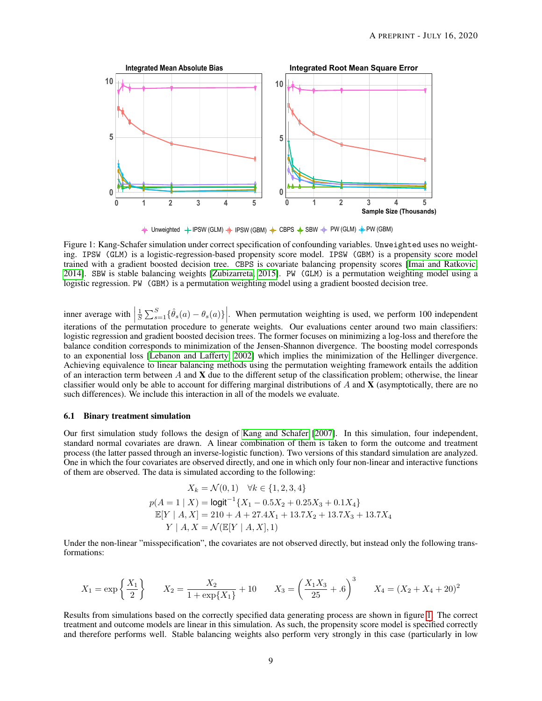<span id="page-8-0"></span>

 $\frac{1}{\Phi}$  Unweighted  $\frac{1}{\Phi}$  IPSW (GLM)  $\frac{1}{\Phi}$  IPSW (GBM)  $\frac{1}{\Phi}$  CBPS  $\frac{1}{\Phi}$  SBW  $\frac{1}{\Phi}$  PW (GLM)  $\frac{1}{\Phi}$  PW (GBM)

Figure 1: Kang-Schafer simulation under correct specification of confounding variables. Unweighted uses no weighting. IPSW (GLM) is a logistic-regression-based propensity score model. IPSW (GBM) is a propensity score model trained with a gradient boosted decision tree. CBPS is covariate balancing propensity scores [\[Imai and Ratkovic,](#page-13-7) [2014\]](#page-13-7). SBW is stable balancing weights [\[Zubizarreta, 2015\]](#page-13-8). PW (GLM) is a permutation weighting model using a logistic regression. PW (GBM) is a permutation weighting model using a gradient boosted decision tree.

inner average with  $\left|\frac{1}{S}\sum_{s=1}^{S} \{\hat{\theta}_s(a) - \theta_s(a)\}\right|$ . When permutation weighting is used, we perform 100 independent iterations of the permutation procedure to generate weights. Our evaluations center around two main classifiers: logistic regression and gradient boosted decision trees. The former focuses on minimizing a log-loss and therefore the balance condition corresponds to minimization of the Jensen-Shannon divergence. The boosting model corresponds to an exponential loss [\[Lebanon and Lafferty, 2002\]](#page-14-13) which implies the minimization of the Hellinger divergence. Achieving equivalence to linear balancing methods using the permutation weighting framework entails the addition of an interaction term between  $A$  and  $X$  due to the different setup of the classification problem; otherwise, the linear classifier would only be able to account for differing marginal distributions of  $A$  and  $X$  (asymptotically, there are no such differences). We include this interaction in all of the models we evaluate.

#### <span id="page-8-1"></span>6.1 Binary treatment simulation

Our first simulation study follows the design of [Kang and Schafer](#page-13-22) [\[2007\]](#page-13-22). In this simulation, four independent, standard normal covariates are drawn. A linear combination of them is taken to form the outcome and treatment process (the latter passed through an inverse-logistic function). Two versions of this standard simulation are analyzed. One in which the four covariates are observed directly, and one in which only four non-linear and interactive functions of them are observed. The data is simulated according to the following:

$$
X_k = \mathcal{N}(0, 1) \quad \forall k \in \{1, 2, 3, 4\}
$$
  
\n
$$
p(A = 1 | X) = \text{logit}^{-1}\{X_1 - 0.5X_2 + 0.25X_3 + 0.1X_4\}
$$
  
\n
$$
\mathbb{E}[Y | A, X] = 210 + A + 27.4X_1 + 13.7X_2 + 13.7X_3 + 13.7X_4
$$
  
\n
$$
Y | A, X = \mathcal{N}(\mathbb{E}[Y | A, X], 1)
$$

Under the non-linear "misspecification", the covariates are not observed directly, but instead only the following transformations:

$$
X_1 = \exp\left\{\frac{X_1}{2}\right\}
$$
  $X_2 = \frac{X_2}{1 + \exp\{X_1\}} + 10$   $X_3 = \left(\frac{X_1 X_3}{25} + .6\right)^3$   $X_4 = (X_2 + X_4 + 20)^2$ 

Results from simulations based on the correctly specified data generating process are shown in figure [1.](#page-8-0) The correct treatment and outcome models are linear in this simulation. As such, the propensity score model is specified correctly and therefore performs well. Stable balancing weights also perform very strongly in this case (particularly in low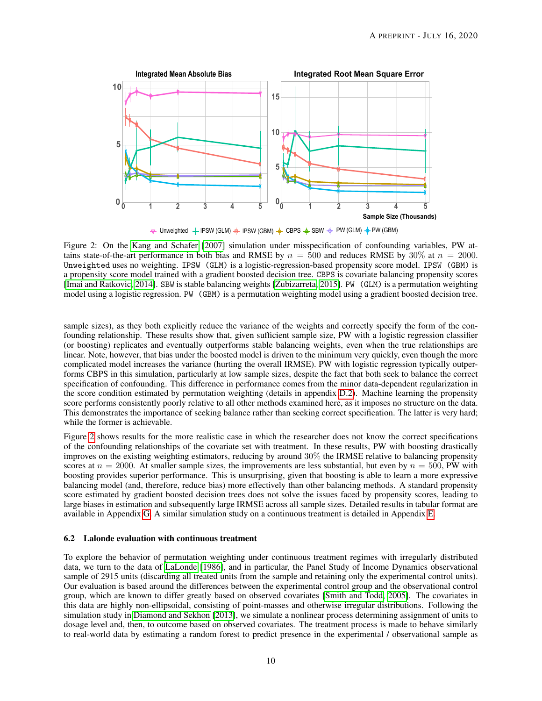<span id="page-9-0"></span>

 $\frac{1}{\P}$  Unweighted  $\frac{1}{\P}$  IPSW (GLM)  $\frac{1}{\P}$  IPSW (GBM)  $\frac{1}{\P}$  CBPS  $\frac{1}{\P}$  SBW  $\frac{1}{\P}$  PW (GLM)  $\frac{1}{\P}$  PW (GBM)

Figure 2: On the [Kang and Schafer](#page-13-22) [\[2007\]](#page-13-22) simulation under misspecification of confounding variables, PW attains state-of-the-art performance in both bias and RMSE by  $n = 500$  and reduces RMSE by 30% at  $n = 2000$ . Unweighted uses no weighting. IPSW (GLM) is a logistic-regression-based propensity score model. IPSW (GBM) is a propensity score model trained with a gradient boosted decision tree. CBPS is covariate balancing propensity scores [\[Imai and Ratkovic, 2014\]](#page-13-7). SBW is stable balancing weights [\[Zubizarreta, 2015\]](#page-13-8). PW (GLM) is a permutation weighting model using a logistic regression. PW (GBM) is a permutation weighting model using a gradient boosted decision tree.

sample sizes), as they both explicitly reduce the variance of the weights and correctly specify the form of the confounding relationship. These results show that, given sufficient sample size, PW with a logistic regression classifier (or boosting) replicates and eventually outperforms stable balancing weights, even when the true relationships are linear. Note, however, that bias under the boosted model is driven to the minimum very quickly, even though the more complicated model increases the variance (hurting the overall IRMSE). PW with logistic regression typically outperforms CBPS in this simulation, particularly at low sample sizes, despite the fact that both seek to balance the correct specification of confounding. This difference in performance comes from the minor data-dependent regularization in the score condition estimated by permutation weighting (details in appendix [D.2\)](#page-20-0). Machine learning the propensity score performs consistently poorly relative to all other methods examined here, as it imposes no structure on the data. This demonstrates the importance of seeking balance rather than seeking correct specification. The latter is very hard; while the former is achievable.

Figure [2](#page-9-0) shows results for the more realistic case in which the researcher does not know the correct specifications of the confounding relationships of the covariate set with treatment. In these results, PW with boosting drastically improves on the existing weighting estimators, reducing by around 30% the IRMSE relative to balancing propensity scores at  $n = 2000$ . At smaller sample sizes, the improvements are less substantial, but even by  $n = 500$ , PW with boosting provides superior performance. This is unsurprising, given that boosting is able to learn a more expressive balancing model (and, therefore, reduce bias) more effectively than other balancing methods. A standard propensity score estimated by gradient boosted decision trees does not solve the issues faced by propensity scores, leading to large biases in estimation and subsequently large IRMSE across all sample sizes. Detailed results in tabular format are available in Appendix [G.](#page-25-0) A similar simulation study on a continuous treatment is detailed in Appendix [E.](#page-23-0)

#### 6.2 Lalonde evaluation with continuous treatment

To explore the behavior of permutation weighting under continuous treatment regimes with irregularly distributed data, we turn to the data of [LaLonde](#page-14-14) [\[1986\]](#page-14-14), and in particular, the Panel Study of Income Dynamics observational sample of 2915 units (discarding all treated units from the sample and retaining only the experimental control units). Our evaluation is based around the differences between the experimental control group and the observational control group, which are known to differ greatly based on observed covariates [\[Smith and Todd, 2005\]](#page-14-15). The covariates in this data are highly non-ellipsoidal, consisting of point-masses and otherwise irregular distributions. Following the simulation study in [Diamond and Sekhon](#page-14-16) [\[2013\]](#page-14-16), we simulate a nonlinear process determining assignment of units to dosage level and, then, to outcome based on observed covariates. The treatment process is made to behave similarly to real-world data by estimating a random forest to predict presence in the experimental / observational sample as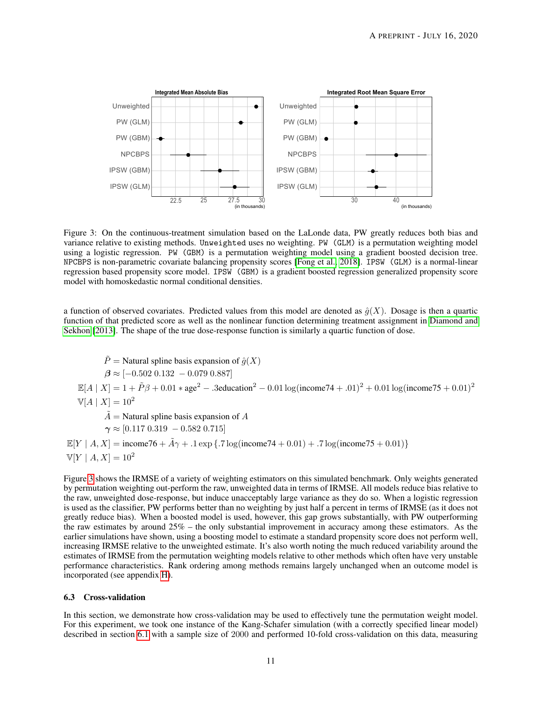<span id="page-10-1"></span>

Figure 3: On the continuous-treatment simulation based on the LaLonde data, PW greatly reduces both bias and variance relative to existing methods. Unweighted uses no weighting. PW (GLM) is a permutation weighting model using a logistic regression. PW (GBM) is a permutation weighting model using a gradient boosted decision tree. NPCBPS is non-parametric covariate balancing propensity scores [\[Fong et al., 2018\]](#page-13-9). IPSW (GLM) is a normal-linear regression based propensity score model. IPSW (GBM) is a gradient boosted regression generalized propensity score model with homoskedastic normal conditional densities.

a function of observed covariates. Predicted values from this model are denoted as  $\hat{q}(X)$ . Dosage is then a quartic function of that predicted score as well as the nonlinear function determining treatment assignment in [Diamond and](#page-14-16) [Sekhon](#page-14-16) [\[2013\]](#page-14-16). The shape of the true dose-response function is similarly a quartic function of dose.

$$
\tilde{P} = \text{Natural spline basis expansion of } \hat{g}(X)
$$
\n
$$
\beta \approx [-0.502 \ 0.132 \ -0.079 \ 0.887]
$$
\n
$$
\mathbb{E}[A \mid X] = 1 + \tilde{P}\beta + 0.01 * age^2 - .3 \text{eduction}^2 - 0.01 \log(\text{income74} + .01)^2 + 0.01 \log(\text{income75} + 0.01)^2
$$
\n
$$
\mathbb{V}[A \mid X] = 10^2
$$
\n
$$
\tilde{A} = \text{Natural spline basis expansion of } A
$$
\n
$$
\gamma \approx [0.117 \ 0.319 \ -0.582 \ 0.715]
$$
\n
$$
\mathbb{E}[Y \mid A, X] = \text{income76} + \tilde{A}\gamma + .1 \exp \{ .7 \log(\text{income74} + 0.01) + .7 \log(\text{income75} + 0.01) \}
$$
\n
$$
\mathbb{V}[Y \mid A, X] = 10^2
$$

Figure [3](#page-10-1) shows the IRMSE of a variety of weighting estimators on this simulated benchmark. Only weights generated by permutation weighting out-perform the raw, unweighted data in terms of IRMSE. All models reduce bias relative to the raw, unweighted dose-response, but induce unacceptably large variance as they do so. When a logistic regression is used as the classifier, PW performs better than no weighting by just half a percent in terms of IRMSE (as it does not greatly reduce bias). When a boosted model is used, however, this gap grows substantially, with PW outperforming the raw estimates by around 25% – the only substantial improvement in accuracy among these estimators. As the earlier simulations have shown, using a boosting model to estimate a standard propensity score does not perform well, increasing IRMSE relative to the unweighted estimate. It's also worth noting the much reduced variability around the estimates of IRMSE from the permutation weighting models relative to other methods which often have very unstable performance characteristics. Rank ordering among methods remains largely unchanged when an outcome model is incorporated (see appendix [H\)](#page-27-0).

#### <span id="page-10-0"></span>6.3 Cross-validation

In this section, we demonstrate how cross-validation may be used to effectively tune the permutation weight model. For this experiment, we took one instance of the Kang-Schafer simulation (with a correctly specified linear model) described in section [6.1](#page-8-1) with a sample size of 2000 and performed 10-fold cross-validation on this data, measuring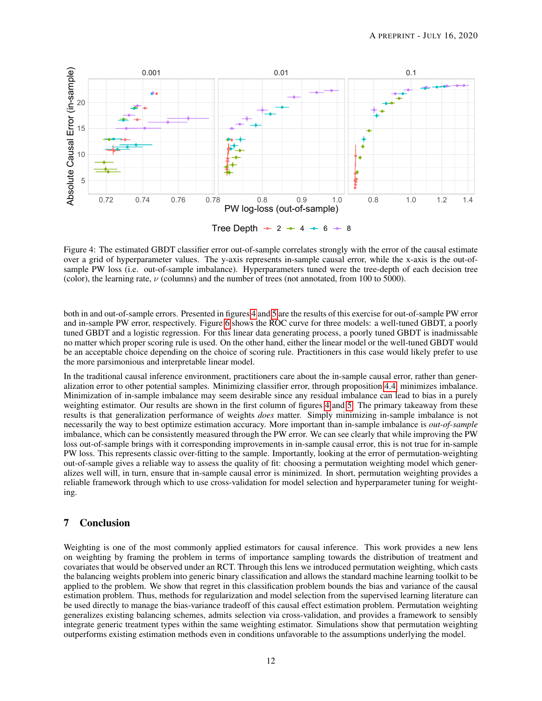<span id="page-11-0"></span>

Figure 4: The estimated GBDT classifier error out-of-sample correlates strongly with the error of the causal estimate over a grid of hyperparameter values. The y-axis represents in-sample causal error, while the x-axis is the out-ofsample PW loss (i.e. out-of-sample imbalance). Hyperparameters tuned were the tree-depth of each decision tree (color), the learning rate,  $\nu$  (columns) and the number of trees (not annotated, from 100 to 5000).

both in and out-of-sample errors. Presented in figures [4](#page-11-0) and [5](#page-12-0) are the results of this exercise for out-of-sample PW error and in-sample PW error, respectively. Figure [6](#page-12-1) shows the ROC curve for three models: a well-tuned GBDT, a poorly tuned GBDT and a logistic regression. For this linear data generating process, a poorly tuned GBDT is inadmissable no matter which proper scoring rule is used. On the other hand, either the linear model or the well-tuned GBDT would be an acceptable choice depending on the choice of scoring rule. Practitioners in this case would likely prefer to use the more parsimonious and interpretable linear model.

In the traditional causal inference environment, practitioners care about the in-sample causal error, rather than generalization error to other potential samples. Minimizing classifier error, through proposition [4.4,](#page-5-1) minimizes imbalance. Minimization of in-sample imbalance may seem desirable since any residual imbalance can lead to bias in a purely weighting estimator. Our results are shown in the first column of figures [4](#page-11-0) and [5.](#page-12-0) The primary takeaway from these results is that generalization performance of weights *does* matter. Simply minimizing in-sample imbalance is not necessarily the way to best optimize estimation accuracy. More important than in-sample imbalance is *out-of-sample* imbalance, which can be consistently measured through the PW error. We can see clearly that while improving the PW loss out-of-sample brings with it corresponding improvements in in-sample causal error, this is not true for in-sample PW loss. This represents classic over-fitting to the sample. Importantly, looking at the error of permutation-weighting out-of-sample gives a reliable way to assess the quality of fit: choosing a permutation weighting model which generalizes well will, in turn, ensure that in-sample causal error is minimized. In short, permutation weighting provides a reliable framework through which to use cross-validation for model selection and hyperparameter tuning for weighting.

# 7 Conclusion

Weighting is one of the most commonly applied estimators for causal inference. This work provides a new lens on weighting by framing the problem in terms of importance sampling towards the distribution of treatment and covariates that would be observed under an RCT. Through this lens we introduced permutation weighting, which casts the balancing weights problem into generic binary classification and allows the standard machine learning toolkit to be applied to the problem. We show that regret in this classification problem bounds the bias and variance of the causal estimation problem. Thus, methods for regularization and model selection from the supervised learning literature can be used directly to manage the bias-variance tradeoff of this causal effect estimation problem. Permutation weighting generalizes existing balancing schemes, admits selection via cross-validation, and provides a framework to sensibly integrate generic treatment types within the same weighting estimator. Simulations show that permutation weighting outperforms existing estimation methods even in conditions unfavorable to the assumptions underlying the model.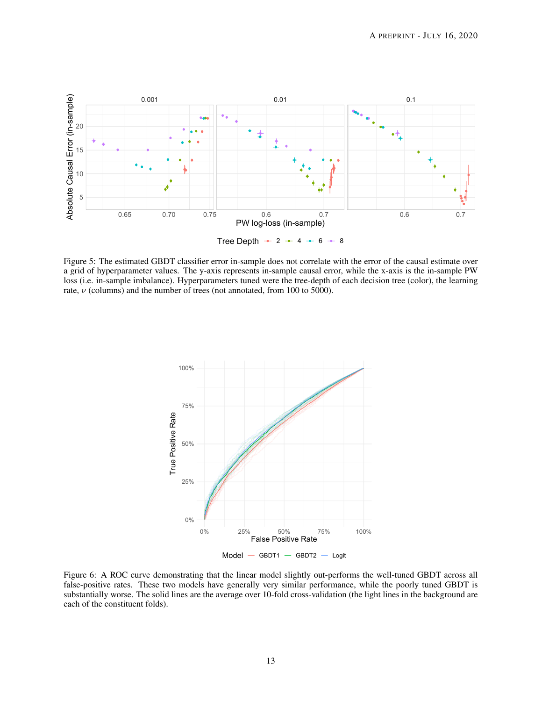<span id="page-12-0"></span>

Figure 5: The estimated GBDT classifier error in-sample does not correlate with the error of the causal estimate over a grid of hyperparameter values. The y-axis represents in-sample causal error, while the x-axis is the in-sample PW loss (i.e. in-sample imbalance). Hyperparameters tuned were the tree-depth of each decision tree (color), the learning rate,  $\nu$  (columns) and the number of trees (not annotated, from 100 to 5000).

<span id="page-12-1"></span>

Figure 6: A ROC curve demonstrating that the linear model slightly out-performs the well-tuned GBDT across all false-positive rates. These two models have generally very similar performance, while the poorly tuned GBDT is substantially worse. The solid lines are the average over 10-fold cross-validation (the light lines in the background are each of the constituent folds).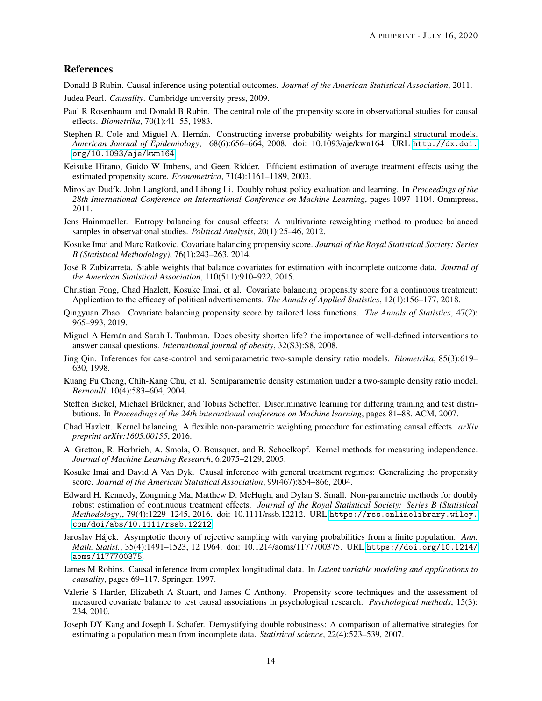## References

<span id="page-13-0"></span>Donald B Rubin. Causal inference using potential outcomes. *Journal of the American Statistical Association*, 2011.

<span id="page-13-1"></span>Judea Pearl. *Causality*. Cambridge university press, 2009.

- <span id="page-13-2"></span>Paul R Rosenbaum and Donald B Rubin. The central role of the propensity score in observational studies for causal effects. *Biometrika*, 70(1):41–55, 1983.
- <span id="page-13-3"></span>Stephen R. Cole and Miguel A. Hernán. Constructing inverse probability weights for marginal structural models. *American Journal of Epidemiology*, 168(6):656–664, 2008. doi: 10.1093/aje/kwn164. URL [http://dx.doi.](http://dx.doi.org/10.1093/aje/kwn164) [org/10.1093/aje/kwn164](http://dx.doi.org/10.1093/aje/kwn164).
- <span id="page-13-4"></span>Keisuke Hirano, Guido W Imbens, and Geert Ridder. Efficient estimation of average treatment effects using the estimated propensity score. *Econometrica*, 71(4):1161–1189, 2003.
- <span id="page-13-5"></span>Miroslav Dud´ık, John Langford, and Lihong Li. Doubly robust policy evaluation and learning. In *Proceedings of the 28th International Conference on International Conference on Machine Learning*, pages 1097–1104. Omnipress, 2011.
- <span id="page-13-6"></span>Jens Hainmueller. Entropy balancing for causal effects: A multivariate reweighting method to produce balanced samples in observational studies. *Political Analysis*, 20(1):25–46, 2012.
- <span id="page-13-7"></span>Kosuke Imai and Marc Ratkovic. Covariate balancing propensity score. *Journal of the Royal Statistical Society: Series B (Statistical Methodology)*, 76(1):243–263, 2014.
- <span id="page-13-8"></span>Jose R Zubizarreta. Stable weights that balance covariates for estimation with incomplete outcome data. ´ *Journal of the American Statistical Association*, 110(511):910–922, 2015.
- <span id="page-13-9"></span>Christian Fong, Chad Hazlett, Kosuke Imai, et al. Covariate balancing propensity score for a continuous treatment: Application to the efficacy of political advertisements. *The Annals of Applied Statistics*, 12(1):156–177, 2018.
- <span id="page-13-10"></span>Qingyuan Zhao. Covariate balancing propensity score by tailored loss functions. *The Annals of Statistics*, 47(2): 965–993, 2019.
- <span id="page-13-11"></span>Miguel A Hernán and Sarah L Taubman. Does obesity shorten life? the importance of well-defined interventions to answer causal questions. *International journal of obesity*, 32(S3):S8, 2008.
- <span id="page-13-12"></span>Jing Qin. Inferences for case-control and semiparametric two-sample density ratio models. *Biometrika*, 85(3):619– 630, 1998.
- <span id="page-13-13"></span>Kuang Fu Cheng, Chih-Kang Chu, et al. Semiparametric density estimation under a two-sample density ratio model. *Bernoulli*, 10(4):583–604, 2004.
- <span id="page-13-14"></span>Steffen Bickel, Michael Brückner, and Tobias Scheffer. Discriminative learning for differing training and test distributions. In *Proceedings of the 24th international conference on Machine learning*, pages 81–88. ACM, 2007.
- <span id="page-13-15"></span>Chad Hazlett. Kernel balancing: A flexible non-parametric weighting procedure for estimating causal effects. *arXiv preprint arXiv:1605.00155*, 2016.
- <span id="page-13-16"></span>A. Gretton, R. Herbrich, A. Smola, O. Bousquet, and B. Schoelkopf. Kernel methods for measuring independence. *Journal of Machine Learning Research*, 6:2075–2129, 2005.
- <span id="page-13-17"></span>Kosuke Imai and David A Van Dyk. Causal inference with general treatment regimes: Generalizing the propensity score. *Journal of the American Statistical Association*, 99(467):854–866, 2004.
- <span id="page-13-18"></span>Edward H. Kennedy, Zongming Ma, Matthew D. McHugh, and Dylan S. Small. Non-parametric methods for doubly robust estimation of continuous treatment effects. *Journal of the Royal Statistical Society: Series B (Statistical Methodology)*, 79(4):1229–1245, 2016. doi: 10.1111/rssb.12212. URL [https://rss.onlinelibrary.wiley.](https://rss.onlinelibrary.wiley.com/doi/abs/10.1111/rssb.12212) [com/doi/abs/10.1111/rssb.12212](https://rss.onlinelibrary.wiley.com/doi/abs/10.1111/rssb.12212).
- <span id="page-13-19"></span>Jaroslav Hájek. Asymptotic theory of rejective sampling with varying probabilities from a finite population. Ann. *Math. Statist.*, 35(4):1491–1523, 12 1964. doi: 10.1214/aoms/1177700375. URL [https://doi.org/10.1214/](https://doi.org/10.1214/aoms/1177700375) [aoms/1177700375](https://doi.org/10.1214/aoms/1177700375).
- <span id="page-13-20"></span>James M Robins. Causal inference from complex longitudinal data. In *Latent variable modeling and applications to causality*, pages 69–117. Springer, 1997.
- <span id="page-13-21"></span>Valerie S Harder, Elizabeth A Stuart, and James C Anthony. Propensity score techniques and the assessment of measured covariate balance to test causal associations in psychological research. *Psychological methods*, 15(3): 234, 2010.
- <span id="page-13-22"></span>Joseph DY Kang and Joseph L Schafer. Demystifying double robustness: A comparison of alternative strategies for estimating a population mean from incomplete data. *Statistical science*, 22(4):523–539, 2007.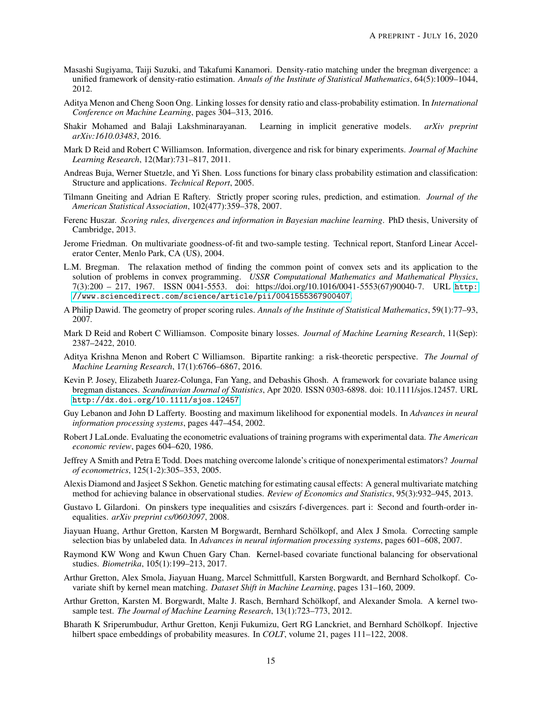- <span id="page-14-0"></span>Masashi Sugiyama, Taiji Suzuki, and Takafumi Kanamori. Density-ratio matching under the bregman divergence: a unified framework of density-ratio estimation. *Annals of the Institute of Statistical Mathematics*, 64(5):1009–1044, 2012.
- <span id="page-14-1"></span>Aditya Menon and Cheng Soon Ong. Linking losses for density ratio and class-probability estimation. In *International Conference on Machine Learning*, pages 304–313, 2016.
- <span id="page-14-2"></span>Shakir Mohamed and Balaji Lakshminarayanan. Learning in implicit generative models. *arXiv preprint arXiv:1610.03483*, 2016.
- <span id="page-14-3"></span>Mark D Reid and Robert C Williamson. Information, divergence and risk for binary experiments. *Journal of Machine Learning Research*, 12(Mar):731–817, 2011.
- <span id="page-14-4"></span>Andreas Buja, Werner Stuetzle, and Yi Shen. Loss functions for binary class probability estimation and classification: Structure and applications. *Technical Report*, 2005.
- <span id="page-14-5"></span>Tilmann Gneiting and Adrian E Raftery. Strictly proper scoring rules, prediction, and estimation. *Journal of the American Statistical Association*, 102(477):359–378, 2007.
- <span id="page-14-6"></span>Ferenc Huszar. *Scoring rules, divergences and information in Bayesian machine learning*. PhD thesis, University of Cambridge, 2013.
- <span id="page-14-7"></span>Jerome Friedman. On multivariate goodness-of-fit and two-sample testing. Technical report, Stanford Linear Accelerator Center, Menlo Park, CA (US), 2004.
- <span id="page-14-8"></span>L.M. Bregman. The relaxation method of finding the common point of convex sets and its application to the solution of problems in convex programming. *USSR Computational Mathematics and Mathematical Physics*, 7(3):200 – 217, 1967. ISSN 0041-5553. doi: https://doi.org/10.1016/0041-5553(67)90040-7. URL [http:](http://www.sciencedirect.com/science/article/pii/0041555367900407) [//www.sciencedirect.com/science/article/pii/0041555367900407](http://www.sciencedirect.com/science/article/pii/0041555367900407).
- <span id="page-14-9"></span>A Philip Dawid. The geometry of proper scoring rules. *Annals of the Institute of Statistical Mathematics*, 59(1):77–93, 2007.
- <span id="page-14-10"></span>Mark D Reid and Robert C Williamson. Composite binary losses. *Journal of Machine Learning Research*, 11(Sep): 2387–2422, 2010.
- <span id="page-14-11"></span>Aditya Krishna Menon and Robert C Williamson. Bipartite ranking: a risk-theoretic perspective. *The Journal of Machine Learning Research*, 17(1):6766–6867, 2016.
- <span id="page-14-12"></span>Kevin P. Josey, Elizabeth Juarez-Colunga, Fan Yang, and Debashis Ghosh. A framework for covariate balance using bregman distances. *Scandinavian Journal of Statistics*, Apr 2020. ISSN 0303-6898. doi: 10.1111/sjos.12457. URL <http://dx.doi.org/10.1111/sjos.12457>.
- <span id="page-14-13"></span>Guy Lebanon and John D Lafferty. Boosting and maximum likelihood for exponential models. In *Advances in neural information processing systems*, pages 447–454, 2002.
- <span id="page-14-14"></span>Robert J LaLonde. Evaluating the econometric evaluations of training programs with experimental data. *The American economic review*, pages 604–620, 1986.
- <span id="page-14-15"></span>Jeffrey A Smith and Petra E Todd. Does matching overcome lalonde's critique of nonexperimental estimators? *Journal of econometrics*, 125(1-2):305–353, 2005.
- <span id="page-14-16"></span>Alexis Diamond and Jasjeet S Sekhon. Genetic matching for estimating causal effects: A general multivariate matching method for achieving balance in observational studies. *Review of Economics and Statistics*, 95(3):932–945, 2013.
- <span id="page-14-17"></span>Gustavo L Gilardoni. On pinskers type inequalities and csiszárs f-divergences. part i: Second and fourth-order inequalities. *arXiv preprint cs/0603097*, 2008.
- <span id="page-14-18"></span>Jiayuan Huang, Arthur Gretton, Karsten M Borgwardt, Bernhard Scholkopf, and Alex J Smola. Correcting sample ¨ selection bias by unlabeled data. In *Advances in neural information processing systems*, pages 601–608, 2007.
- <span id="page-14-19"></span>Raymond KW Wong and Kwun Chuen Gary Chan. Kernel-based covariate functional balancing for observational studies. *Biometrika*, 105(1):199–213, 2017.
- <span id="page-14-20"></span>Arthur Gretton, Alex Smola, Jiayuan Huang, Marcel Schmittfull, Karsten Borgwardt, and Bernhard Scholkopf. Covariate shift by kernel mean matching. *Dataset Shift in Machine Learning*, pages 131–160, 2009.
- <span id="page-14-21"></span>Arthur Gretton, Karsten M. Borgwardt, Malte J. Rasch, Bernhard Scholkopf, and Alexander Smola. A kernel two- ¨ sample test. *The Journal of Machine Learning Research*, 13(1):723–773, 2012.
- <span id="page-14-22"></span>Bharath K Sriperumbudur, Arthur Gretton, Kenji Fukumizu, Gert RG Lanckriet, and Bernhard Scholkopf. Injective ¨ hilbert space embeddings of probability measures. In *COLT*, volume 21, pages 111–122, 2008.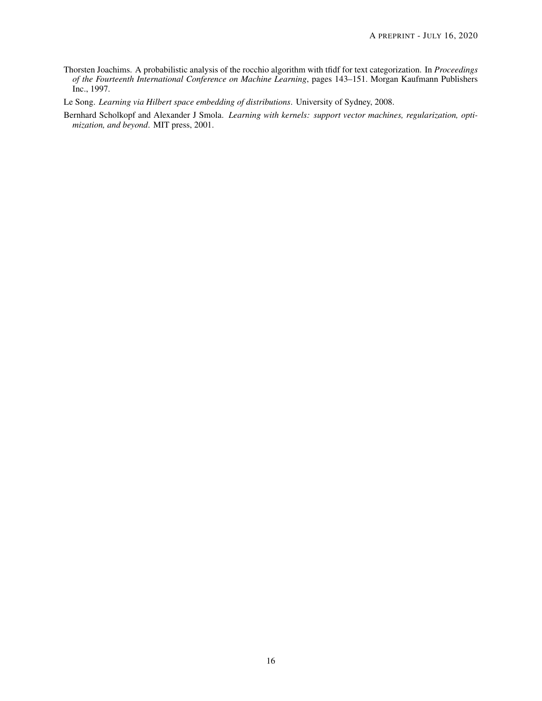- <span id="page-15-0"></span>Thorsten Joachims. A probabilistic analysis of the rocchio algorithm with tfidf for text categorization. In *Proceedings of the Fourteenth International Conference on Machine Learning*, pages 143–151. Morgan Kaufmann Publishers Inc., 1997.
- <span id="page-15-1"></span>Le Song. *Learning via Hilbert space embedding of distributions*. University of Sydney, 2008.
- <span id="page-15-2"></span>Bernhard Scholkopf and Alexander J Smola. *Learning with kernels: support vector machines, regularization, optimization, and beyond*. MIT press, 2001.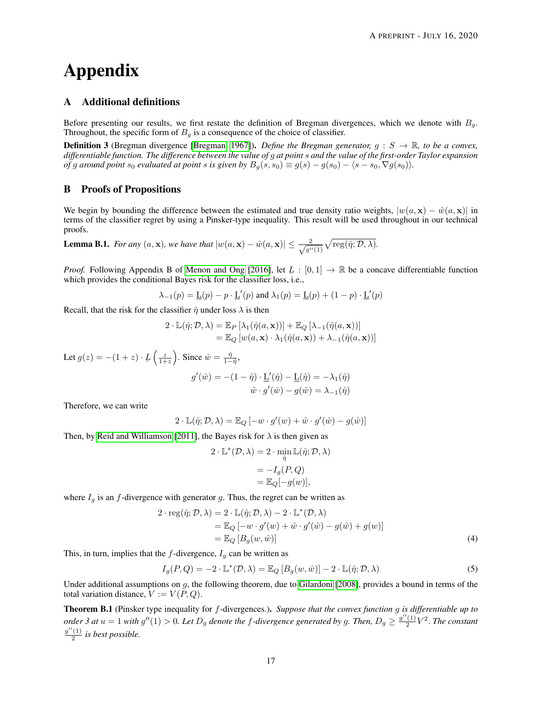# Appendix

## A Additional definitions

Before presenting our results, we first restate the definition of Bregman divergences, which we denote with  $B<sub>g</sub>$ . Throughout, the specific form of  $B<sub>q</sub>$  is a consequence of the choice of classifier.

**Definition 3** (Bregman divergence [\[Bregman, 1967\]](#page-14-8)). *Define the Bregman generator*,  $g : S \to \mathbb{R}$ , to be a convex, *differentiable function. The difference between the value of* g *at point* s *and the value of the first-order Taylor expansion of* g around point  $s_0$  evaluated at point s is given by  $B_g(s, s_0) \equiv g(s) - g(s_0) - \langle s - s_0, \nabla g(s_0) \rangle$ .

#### B Proofs of Propositions

We begin by bounding the difference between the estimated and true density ratio weights,  $|w(a, x) - \hat{w}(a, x)|$  in terms of the classifier regret by using a Pinsker-type inequality. This result will be used throughout in our technical proofs.

<span id="page-16-3"></span>**Lemma B.1.** *For any*  $(a, x)$ *, we have that*  $|w(a, x) - \hat{w}(a, x)| \leq \frac{2}{\sqrt{a}}$  $\frac{2}{g''(1)}\sqrt{\operatorname{reg}(\hat{\eta};\mathcal{D},\lambda)}.$ 

*Proof.* Following Appendix B of [Menon and Ong](#page-14-1) [\[2016\]](#page-14-1), let  $L : [0, 1] \rightarrow \mathbb{R}$  be a concave differentiable function which provides the conditional Bayes risk for the classifier loss, i.e.,

$$
\lambda_{-1}(p) = \underline{\mathbf{L}}(p) - p \cdot \underline{\mathbf{L}}'(p)
$$
 and  $\lambda_1(p) = \underline{\mathbf{L}}(p) + (1 - p) \cdot \underline{\mathbf{L}}'(p)$ 

Recall, that the risk for the classifier  $\hat{\eta}$  under loss  $\lambda$  is then

$$
2 \cdot \mathbb{L}(\hat{\eta}; \mathcal{D}, \lambda) = \mathbb{E}_{P} [\lambda_{1}(\hat{\eta}(a, \mathbf{x}))] + \mathbb{E}_{Q} [\lambda_{-1}(\hat{\eta}(a, \mathbf{x}))]
$$
  
=  $\mathbb{E}_{Q} [w(a, \mathbf{x}) \cdot \lambda_{1}(\hat{\eta}(a, \mathbf{x})) + \lambda_{-1}(\hat{\eta}(a, \mathbf{x}))]$ 

Let  $g(z) = -(1+z) \cdot L\left(\frac{z}{1+z}\right)$ . Since  $\hat{w} = \frac{\hat{\eta}}{1-\hat{\eta}},$  $\prime$ 

$$
g'(\hat{w}) = -(1 - \hat{\eta}) \cdot \underline{\mathbf{L}}'(\hat{\eta}) - \underline{\mathbf{L}}(\hat{\eta}) = -\lambda_1(\hat{\eta})
$$

$$
\hat{w} \cdot g'(\hat{w}) - g(\hat{w}) = \lambda_{-1}(\hat{\eta})
$$

Therefore, we can write

$$
2 \cdot \mathbb{L}(\hat{\eta}; \mathcal{D}, \lambda) = \mathbb{E}_{Q} \left[ -w \cdot g'(w) + \hat{w} \cdot g'(\hat{w}) - g(\hat{w}) \right]
$$

Then, by [Reid and Williamson](#page-14-3) [\[2011\]](#page-14-3), the Bayes risk for  $\lambda$  is then given as

<span id="page-16-2"></span><span id="page-16-1"></span>
$$
2 \cdot \mathbb{L}^*(\mathcal{D}, \lambda) = 2 \cdot \min_{\hat{\eta}} \mathbb{L}(\hat{\eta}; \mathcal{D}, \lambda)
$$

$$
= -I_g(P, Q)
$$

$$
= \mathbb{E}_Q[-g(w)],
$$

where  $I_q$  is an f-divergence with generator g. Thus, the regret can be written as

$$
2 \cdot \text{reg}(\hat{\eta}; \mathcal{D}, \lambda) = 2 \cdot \mathbb{L}(\hat{\eta}; \mathcal{D}, \lambda) - 2 \cdot \mathbb{L}^*(\mathcal{D}, \lambda)
$$
  
=  $\mathbb{E}_Q [-w \cdot g'(w) + \hat{w} \cdot g'(\hat{w}) - g(\hat{w}) + g(w)]$   
=  $\mathbb{E}_Q [B_g(w, \hat{w})]$  (4)

This, in turn, implies that the  $f$ -divergence,  $I_g$  can be written as

$$
I_g(P,Q) = -2 \cdot \mathbb{L}^*(\mathcal{D}, \lambda) = \mathbb{E}_Q \left[ B_g(w, \hat{w}) \right] - 2 \cdot \mathbb{L}(\hat{\eta}; \mathcal{D}, \lambda)
$$
 (5)

Under additional assumptions on  $g$ , the following theorem, due to [Gilardoni](#page-14-17) [\[2008\]](#page-14-17), provides a bound in terms of the total variation distance,  $V := V(P, Q)$ .

<span id="page-16-0"></span>Theorem B.1 (Pinsker type inequality for f-divergences.). *Suppose that the convex function* g *is differentiable up to order 3 at*  $u = 1$  *with*  $g''(1) > 0$ *. Let*  $D_g$  *denote the* f-divergence generated by g. Then,  $D_g \geq \frac{g''(1)}{2}$  $\frac{(1)}{2}V^2$ . *The constant*  $g''(1)$  $\frac{(1)}{2}$  is best possible.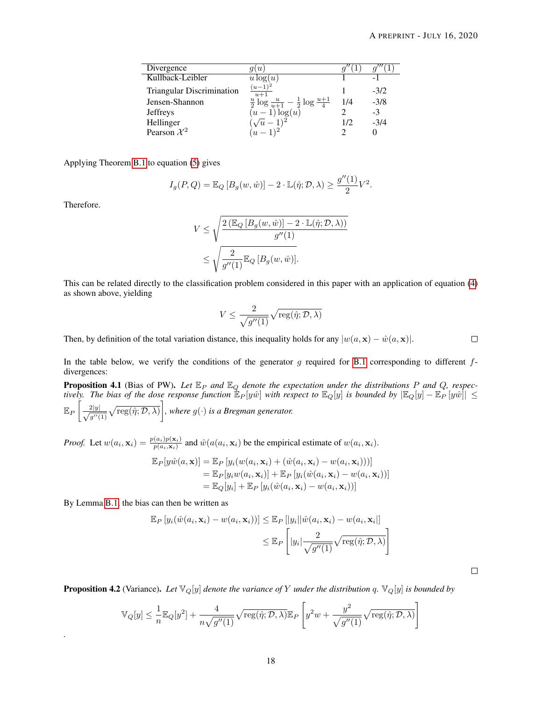.

| Divergence                       | $\boldsymbol{\mathit{u}}$                                         |     |        |
|----------------------------------|-------------------------------------------------------------------|-----|--------|
| Kullback-Leibler                 | $u\log(u)$                                                        |     |        |
| <b>Triangular Discrimination</b> | $(u-1)$<br>$u+1$                                                  |     | $-3/2$ |
| Jensen-Shannon                   | $\frac{u}{2} \log \frac{u}{u+1} - \frac{1}{2} \log \frac{u+1}{4}$ | 1/4 | $-3/8$ |
| <b>Jeffreys</b>                  | log(u)<br>$(u -$                                                  |     | -3     |
| Hellinger                        |                                                                   | 1/2 | $-3/4$ |
| Pearson $\mathcal{X}^2$          |                                                                   |     |        |

Applying Theorem [B.1](#page-16-0) to equation [\(5\)](#page-16-1) gives

$$
I_g(P,Q) = \mathbb{E}_Q [B_g(w, \hat{w})] - 2 \cdot \mathbb{L}(\hat{\eta}; \mathcal{D}, \lambda) \ge \frac{g''(1)}{2} V^2
$$

Therefore.

*.*

$$
V \leq \sqrt{\frac{2\left(\mathbb{E}_{Q}\left[B_{g}(w,\hat{w})\right] - 2 \cdot \mathbb{L}(\hat{\eta}; \mathcal{D}, \lambda)\right)}{g''(1)}}
$$
  

$$
\leq \sqrt{\frac{2}{g''(1)}} \mathbb{E}_{Q}\left[B_{g}(w,\hat{w})\right].
$$

This can be related directly to the classification problem considered in this paper with an application of equation [\(4\)](#page-16-2) as shown above, yielding

$$
V \leq \frac{2}{\sqrt{g''(1)}}\sqrt{\operatorname{reg}(\hat{\eta}; \mathcal{D}, \lambda)}
$$

Then, by definition of the total variation distance, this inequality holds for any  $|w(a, \mathbf{x}) - \hat{w}(a, \mathbf{x})|$ .  $\Box$ 

In the table below, we verify the conditions of the generator g required for [B.1](#page-16-0) corresponding to different  $f$ divergences:

**Proposition 4.1** (Bias of PW). Let  $\mathbb{E}_P$  and  $\mathbb{E}_Q$  denote the expectation under the distributions P and Q, respec*tively. The bias of the dose response function*  $\mathbb{E}_P[y\hat{w}]$  *with respect to*  $\mathbb{E}_Q[y]$  *is bounded by*  $|\mathbb{E}_Q[y] - \mathbb{E}_P[y\hat{w}]| \le$  $\mathbb{E}_P\left[\frac{2|y|}{\sqrt{y}}\right]$  $\frac{2|y|}{g''(1)}\sqrt{\text{reg}(\hat{\eta};\mathcal{D},\lambda)}\bigg]$ , where  $g(\cdot)$  is a Bregman generator.

*Proof.* Let  $w(a_i, \mathbf{x}_i) = \frac{p(a_i)p(\mathbf{x}_i)}{p(a_i, \mathbf{x}_i)}$  and  $\hat{w}(a(a_i, \mathbf{x}_i))$  be the empirical estimate of  $w(a_i, \mathbf{x}_i)$ .

$$
\mathbb{E}_{P}[y\hat{w}(a,\mathbf{x})] = \mathbb{E}_{P}[y_i(w(a_i,\mathbf{x}_i) + (\hat{w}(a_i,\mathbf{x}_i) - w(a_i,\mathbf{x}_i)))]
$$
  
\n
$$
= \mathbb{E}_{P}[y_iw(a_i,\mathbf{x}_i)] + \mathbb{E}_{P}[y_i(\hat{w}(a_i,\mathbf{x}_i) - w(a_i,\mathbf{x}_i))]
$$
  
\n
$$
= \mathbb{E}_{Q}[y_i] + \mathbb{E}_{P}[y_i(\hat{w}(a_i,\mathbf{x}_i) - w(a_i,\mathbf{x}_i))]
$$

By Lemma [B.1,](#page-16-3) the bias can then be written as

$$
\mathbb{E}_{P}\left[y_{i}(\hat{w}(a_{i}, \mathbf{x}_{i}) - w(a_{i}, \mathbf{x}_{i}))\right] \leq \mathbb{E}_{P}\left[\left|y_{i}\right|\left|\hat{w}(a_{i}, \mathbf{x}_{i}) - w(a_{i}, \mathbf{x}_{i})\right|\right] \leq \mathbb{E}_{P}\left[\left|y_{i}\right|\frac{2}{\sqrt{g''(1)}}\sqrt{\text{reg}(\hat{\eta}; \mathcal{D}, \lambda)}\right]
$$

**Proposition 4.2** (Variance). Let  $\mathbb{V}_Q[y]$  denote the variance of Y under the distribution q.  $\mathbb{V}_Q[y]$  is bounded by

$$
\mathbb{V}_Q[y] \le \frac{1}{n} \mathbb{E}_Q[y^2] + \frac{4}{n\sqrt{g''(1)}} \sqrt{\text{reg}(\hat{\eta}; \mathcal{D}, \lambda)} \mathbb{E}_P \left[ y^2 w + \frac{y^2}{\sqrt{g''(1)}} \sqrt{\text{reg}(\hat{\eta}; \mathcal{D}, \lambda)} \right]
$$

 $\Box$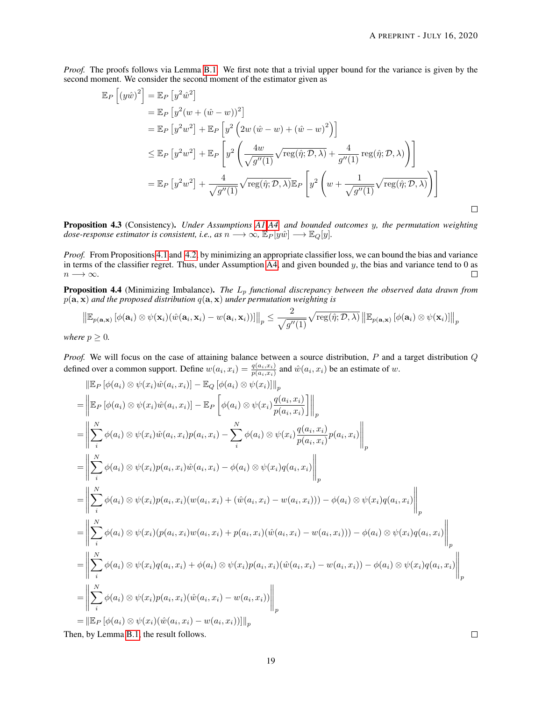*Proof.* The proofs follows via Lemma [B.1.](#page-16-3) We first note that a trivial upper bound for the variance is given by the second moment. We consider the second moment of the estimator given as

$$
\mathbb{E}_{P}\left[\left(y\hat{w}\right)^{2}\right] = \mathbb{E}_{P}\left[y^{2}\hat{w}^{2}\right]
$$
\n
$$
= \mathbb{E}_{P}\left[y^{2}(w + (\hat{w} - w))^{2}\right]
$$
\n
$$
= \mathbb{E}_{P}\left[y^{2}w^{2}\right] + \mathbb{E}_{P}\left[y^{2}\left(2w\left(\hat{w} - w\right) + (\hat{w} - w)^{2}\right)\right]
$$
\n
$$
\leq \mathbb{E}_{P}\left[y^{2}w^{2}\right] + \mathbb{E}_{P}\left[y^{2}\left(\frac{4w}{\sqrt{g''(1)}}\sqrt{\text{reg}(\hat{\eta}; \mathcal{D}, \lambda)} + \frac{4}{g''(1)}\text{reg}(\hat{\eta}; \mathcal{D}, \lambda)\right)\right]
$$
\n
$$
= \mathbb{E}_{P}\left[y^{2}w^{2}\right] + \frac{4}{\sqrt{g''(1)}}\sqrt{\text{reg}(\hat{\eta}; \mathcal{D}, \lambda)}\mathbb{E}_{P}\left[y^{2}\left(w + \frac{1}{\sqrt{g''(1)}}\sqrt{\text{reg}(\hat{\eta}; \mathcal{D}, \lambda)}\right)\right]
$$

Proposition 4.3 (Consistency). *Under Assumptions [A1](#page-1-2)[-A4,](#page-4-1) and bounded outcomes* y*, the permutation weighting dose-response estimator is consistent, i.e., as*  $n \longrightarrow \infty$ ,  $\mathbb{E}_P[y\hat{w}] \longrightarrow \mathbb{E}_Q[y]$ *.* 

*Proof.* From Propositions [4.1](#page-5-2) and [4.2,](#page-5-3) by minimizing an appropriate classifier loss, we can bound the bias and variance in terms of the classifier regret. Thus, under Assumption  $\overline{A4}$ , and given bounded y, the bias and variance tend to 0 as  $n \longrightarrow \infty$ .  $\Box$ 

**Proposition 4.4** (Minimizing Imbalance). *The*  $L_p$  *functional discrepancy between the observed data drawn from*  $p(\mathbf{a}, \mathbf{x})$  *and the proposed distribution*  $q(\mathbf{a}, \mathbf{x})$  *under permutation weighting is* 

$$
\left\|\mathbb{E}_{p(\mathbf{a},\mathbf{x})}\left[\phi(\mathbf{a}_i)\otimes\psi(\mathbf{x}_i)(\hat{w}(\mathbf{a}_i,\mathbf{x}_i)-w(\mathbf{a}_i,\mathbf{x}_i))\right]\right\|_p \leq \frac{2}{\sqrt{g''(1)}}\sqrt{\text{reg}(\hat{\eta};\mathcal{D},\lambda)}\left\|\mathbb{E}_{p(\mathbf{a},\mathbf{x})}\left[\phi(\mathbf{a}_i)\otimes\psi(\mathbf{x}_i)\right]\right\|_p
$$

*where*  $p \geq 0$ *.* 

*Proof.* We will focus on the case of attaining balance between a source distribution, P and a target distribution Q defined over a common support. Define  $w(a_i, x_i) = \frac{q(a_i, x_i)}{p(a_i, x_i)}$  and  $\hat{w}(a_i, x_i)$  be an estimate of w.

$$
\|\mathbb{E}_{P}[\phi(a_{i}) \otimes \psi(x_{i})\hat{w}(a_{i},x_{i})] - \mathbb{E}_{Q}[\phi(a_{i}) \otimes \psi(x_{i})\|_{p} \n= \left\|\mathbb{E}_{P}[\phi(a_{i}) \otimes \psi(x_{i})\hat{w}(a_{i},x_{i})] - \mathbb{E}_{P}\left[\phi(a_{i}) \otimes \psi(x_{i})\frac{q(a_{i},x_{i})}{p(a_{i},x_{i})}\right]\right\|_{p} \n= \left\|\sum_{i}^{N}\phi(a_{i}) \otimes \psi(x_{i})\hat{w}(a_{i},x_{i})p(a_{i},x_{i}) - \sum_{i}^{N}\phi(a_{i}) \otimes \psi(x_{i})\frac{q(a_{i},x_{i})}{p(a_{i},x_{i})}p(a_{i},x_{i})\right\|_{p} \n= \left\|\sum_{i}^{N}\phi(a_{i}) \otimes \psi(x_{i})p(a_{i},x_{i})\hat{w}(a_{i},x_{i}) - \phi(a_{i}) \otimes \psi(x_{i})q(a_{i},x_{i})\right\|_{p} \n= \left\|\sum_{i}^{N}\phi(a_{i}) \otimes \psi(x_{i})p(a_{i},x_{i})(w(a_{i},x_{i}) + (\hat{w}(a_{i},x_{i}) - w(a_{i},x_{i}))) - \phi(a_{i}) \otimes \psi(x_{i})q(a_{i},x_{i})\right\|_{p} \n= \left\|\sum_{i}^{N}\phi(a_{i}) \otimes \psi(x_{i})p(a_{i},x_{i})w(a_{i},x_{i}) + p(a_{i},x_{i})(\hat{w}(a_{i},x_{i}) - w(a_{i},x_{i}))) - \phi(a_{i}) \otimes \psi(x_{i})q(a_{i},x_{i})\right\|_{p} \n= \left\|\sum_{i}^{N}\phi(a_{i}) \otimes \psi(x_{i})q(a_{i},x_{i}) + \phi(a_{i}) \otimes \psi(x_{i})p(a_{i},x_{i})(\hat{w}(a_{i},x_{i}) - w(a_{i},x_{i}))) - \phi(a_{i}) \otimes \psi(x_{i})q(a_{i},x_{i})\right\|_{p} \n= \left\|\mathbb{E}_{P}[\phi(a_{i}) \otimes \psi(x_{i})p(a_{i},x_{i})(\hat{w}(a_{i},x_{i}) - w
$$

Then, by Lemma [B.1,](#page-16-3) the result follows.

 $\Box$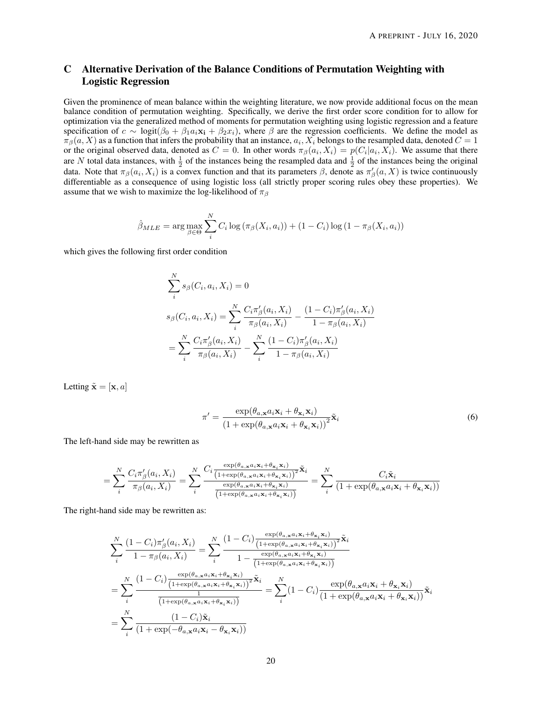# C Alternative Derivation of the Balance Conditions of Permutation Weighting with Logistic Regression

Given the prominence of mean balance within the weighting literature, we now provide additional focus on the mean balance condition of permutation weighting. Specifically, we derive the first order score condition for to allow for optimization via the generalized method of moments for permutation weighting using logistic regression and a feature specification of  $c \sim \logit(\beta_0 + \beta_1 a_i \mathbf{x_i} + \beta_2 x_i)$ , where  $\beta$  are the regression coefficients. We define the model as  $\pi_\beta(a,X)$  as a function that infers the probability that an instance,  $a_i, X_i$  belongs to the resampled data, denoted  $C=1$ or the original observed data, denoted as  $C = 0$ . In other words  $\pi_{\beta}(a_i, X_i) = p(C_i|a_i, X_i)$ . We assume that there are N total data instances, with  $\frac{1}{2}$  of the instances being the resampled data and  $\frac{1}{2}$  of the instances being the original data. Note that  $\pi_\beta(a_i, X_i)$  is a convex function and that its parameters  $\beta$ , denote as  $\pi'_\beta(a, X)$  is twice continuously differentiable as a consequence of using logistic loss (all strictly proper scoring rules obey these properties). We assume that we wish to maximize the log-likelihood of  $\pi_\beta$ 

$$
\hat{\beta}_{MLE} = \arg \max_{\beta \in \Theta} \sum_{i}^{N} C_i \log \left( \pi_{\beta}(X_i, a_i) \right) + (1 - C_i) \log \left( 1 - \pi_{\beta}(X_i, a_i) \right)
$$

which gives the following first order condition

$$
\sum_{i}^{N} s_{\beta}(C_i, a_i, X_i) = 0
$$
\n
$$
s_{\beta}(C_i, a_i, X_i) = \sum_{i}^{N} \frac{C_i \pi_{\beta}'(a_i, X_i)}{\pi_{\beta}(a_i, X_i)} - \frac{(1 - C_i)\pi_{\beta}'(a_i, X_i)}{1 - \pi_{\beta}(a_i, X_i)}
$$
\n
$$
= \sum_{i}^{N} \frac{C_i \pi_{\beta}'(a_i, X_i)}{\pi_{\beta}(a_i, X_i)} - \sum_{i}^{N} \frac{(1 - C_i)\pi_{\beta}'(a_i, X_i)}{1 - \pi_{\beta}(a_i, X_i)}
$$

Letting  $\tilde{\mathbf{x}} = [\mathbf{x}, a]$ 

$$
\pi' = \frac{\exp(\theta_{a,x}a_i\mathbf{x}_i + \theta_{\mathbf{x}_i}\mathbf{x}_i)}{\left(1 + \exp(\theta_{a,x}a_i\mathbf{x}_i + \theta_{\mathbf{x}_i}\mathbf{x}_i)\right)^2}\tilde{\mathbf{x}}_i
$$
\n(6)

The left-hand side may be rewritten as

$$
= \sum_{i}^{N} \frac{C_{i}\pi'_{\beta}(a_{i}, X_{i})}{\pi_{\beta}(a_{i}, X_{i})} = \sum_{i}^{N} \frac{C_{i} \frac{\exp(\theta_{a,x}a_{i}x_{i} + \theta_{x_{i}}x_{i})}{(1 + \exp(\theta_{a,x}a_{i}x_{i} + \theta_{x_{i}}x_{i}))^{2}} \tilde{\mathbf{x}}_{i}}{\frac{\exp(\theta_{a,x}a_{i}x_{i} + \theta_{x_{i}}x_{i})}{(1 + \exp(\theta_{a,x}a_{i}x_{i} + \theta_{x_{i}}x_{i}))}} = \sum_{i}^{N} \frac{C_{i}\tilde{\mathbf{x}}_{i}}{(1 + \exp(\theta_{a,x}a_{i}x_{i} + \theta_{x_{i}}x_{i}))}
$$

The right-hand side may be rewritten as:

$$
\sum_{i}^{N} \frac{(1 - C_i)\pi_{\beta}'(a_i, X_i)}{1 - \pi_{\beta}(a_i, X_i)} = \sum_{i}^{N} \frac{(1 - C_i)\frac{\exp(\theta_{a, \mathbf{x}}a_i\mathbf{x}_i + \theta_{\mathbf{x}_i}\mathbf{x}_i)}{(1 + \exp(\theta_{a, \mathbf{x}}a_i\mathbf{x}_i + \theta_{\mathbf{x}_i}\mathbf{x}_i))^2}\tilde{\mathbf{x}}_i}{1 - \frac{\exp(\theta_{a, \mathbf{x}}a_i\mathbf{x}_i + \theta_{\mathbf{x}_i}\mathbf{x}_i)}{(1 + \exp(\theta_{a, \mathbf{x}}a_i\mathbf{x}_i + \theta_{\mathbf{x}_i}\mathbf{x}_i))}}
$$
\n
$$
= \sum_{i}^{N} \frac{(1 - C_i)\frac{\exp(\theta_{a, \mathbf{x}}a_i\mathbf{x}_i + \theta_{\mathbf{x}_i}\mathbf{x}_i)}{(1 + \exp(\theta_{a, \mathbf{x}}a_i\mathbf{x}_i + \theta_{\mathbf{x}_i}\mathbf{x}_i))^2}\tilde{\mathbf{x}}_i}{\frac{1}{(1 + \exp(\theta_{a, \mathbf{x}}a_i\mathbf{x}_i + \theta_{\mathbf{x}_i}\mathbf{x}_i))}\tilde{\mathbf{x}}_i} = \sum_{i}^{N} (1 - C_i)\frac{\exp(\theta_{a, \mathbf{x}}a_i\mathbf{x}_i + \theta_{\mathbf{x}_i}\mathbf{x}_i)}{(1 + \exp(\theta_{a, \mathbf{x}}a_i\mathbf{x}_i + \theta_{\mathbf{x}_i}\mathbf{x}_i))}\tilde{\mathbf{x}}_i}
$$
\n
$$
= \sum_{i}^{N} \frac{(1 - C_i)\tilde{\mathbf{x}}_i}{(1 + \exp(-\theta_{a, \mathbf{x}}a_i\mathbf{x}_i - \theta_{\mathbf{x}_i}\mathbf{x}_i))}
$$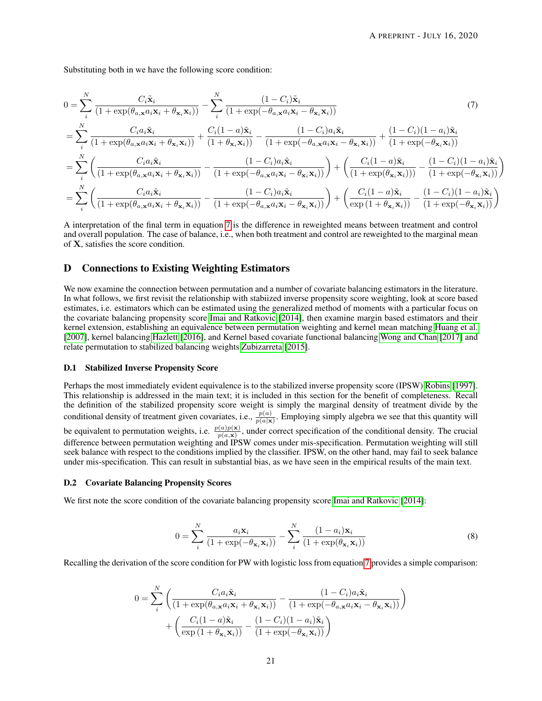Substituting both in we have the following score condition:

<span id="page-20-1"></span>
$$
0 = \sum_{i}^{N} \frac{C_{i}\tilde{\mathbf{x}}_{i}}{(1+\exp(\theta_{a,\mathbf{x}}a_{i}\mathbf{x}_{i}+\theta_{\mathbf{x}_{i}}\mathbf{x}_{i}))} - \sum_{i}^{N} \frac{(1-C_{i})\tilde{\mathbf{x}}_{i}}{(1+\exp(-\theta_{a,\mathbf{x}}a_{i}\mathbf{x}_{i}-\theta_{\mathbf{x}_{i}}\mathbf{x}_{i}))}
$$
(7)  

$$
= \sum_{i}^{N} \frac{C_{i}a_{i}\tilde{\mathbf{x}}_{i}}{(1+\exp(\theta_{a,\mathbf{x}}a_{i}\mathbf{x}_{i}+\theta_{\mathbf{x}_{i}}\mathbf{x}_{i}))} + \frac{C_{i}(1-a)\tilde{\mathbf{x}}_{i}}{(1+\theta_{\mathbf{x}_{i}}\mathbf{x}_{i})} - \frac{(1-C_{i})a_{i}\tilde{\mathbf{x}}_{i}}{(1+\exp(-\theta_{a,\mathbf{x}}a_{i}\mathbf{x}_{i}-\theta_{\mathbf{x}_{i}}\mathbf{x}_{i}))} + \frac{(1-C_{i})(1-a_{i})\tilde{\mathbf{x}}_{i}}{(1+\exp(-\theta_{\mathbf{x}_{i}}\mathbf{x}_{i}))}
$$

$$
= \sum_{i}^{N} \left(\frac{C_{i}a_{i}\tilde{\mathbf{x}}_{i}}{(1+\exp(\theta_{a,\mathbf{x}}a_{i}\mathbf{x}_{i}+\theta_{\mathbf{x}_{i}}\mathbf{x}_{i}))} - \frac{(1-C_{i})a_{i}\tilde{\mathbf{x}}_{i}}{(1+\exp(-\theta_{a,\mathbf{x}}a_{i}\mathbf{x}_{i}-\theta_{\mathbf{x}_{i}}\mathbf{x}_{i}))}\right) + \left(\frac{C_{i}(1-a)\tilde{\mathbf{x}}_{i}}{(1+\exp(\theta_{\mathbf{x}_{i}}\mathbf{x}_{i}))} - \frac{(1-C_{i})(1-a_{i})\tilde{\mathbf{x}}_{i}}{(1+\exp(-\theta_{\mathbf{x}_{i}}\mathbf{x}_{i}))}\right)
$$

$$
= \sum_{i}^{N} \left(\frac{C_{i}a_{i}\tilde{\mathbf{x}}_{i}}{(1+\exp(\theta_{a,\mathbf{x}}a_{i}\mathbf{x}_{i}+\theta_{\mathbf{x}_{i}}\mathbf{x}_{i}))} - \frac{(1-C_{i})a_{i}\tilde{\mathbf{x}}_{i}}{(1+\exp(-\theta_{a,\mathbf{x}}a_{i}\mathbf{x}_{i}-\theta_{\mathbf{x}_{i}}\mathbf{x}_{i
$$

A interpretation of the final term in equation [7](#page-20-1) is the difference in reweighted means between treatment and control and overall population. The case of balance, i.e., when both treatment and control are reweighted to the marginal mean of X, satisfies the score condition.

## D Connections to Existing Weighting Estimators

We now examine the connection between permutation and a number of covariate balancing estimators in the literature. In what follows, we first revisit the relationship with stabiized inverse propensity score weighting, look at score based estimates, i.e. estimators which can be estimated using the generalized method of moments with a particular focus on the covariate balancing propensity score [Imai and Ratkovic](#page-13-7) [\[2014\]](#page-13-7), then examine margin based estimators and their kernel extension, establishing an equivalence between permutation weighting and kernel mean matching [Huang et al.](#page-14-18) [\[2007\]](#page-14-18), kernel balancing [Hazlett](#page-13-15) [\[2016\]](#page-13-15), and Kernel based covariate functional balancing [Wong and Chan](#page-14-19) [\[2017\]](#page-14-19) and relate permutation to stabilized balancing weights [Zubizarreta](#page-13-8) [\[2015\]](#page-13-8).

#### D.1 Stabilized Inverse Propensity Score

Perhaps the most immediately evident equivalence is to the stabilized inverse propensity score (IPSW) [Robins](#page-13-20) [\[1997\]](#page-13-20). This relationship is addressed in the main text; it is included in this section for the benefit of completeness. Recall the definition of the stabilized propensity score weight is simply the marginal density of treatment divide by the conditional density of treatment given covariates, i.e.,  $\frac{p(a)}{p(a|x)}$ . Employing simply algebra we see that this quantity will be equivalent to permutation weights, i.e.  $\frac{p(a)p(x)}{p(a,x)}$ , under correct specification of the conditional density. The crucial difference between permutation weighting and IPSW comes under mis-specification. Permutation weighting will still seek balance with respect to the conditions implied by the classifier. IPSW, on the other hand, may fail to seek balance under mis-specification. This can result in substantial bias, as we have seen in the empirical results of the main text.

#### <span id="page-20-0"></span>D.2 Covariate Balancing Propensity Scores

We first note the score condition of the covariate balancing propensity score [Imai and Ratkovic](#page-13-7) [\[2014\]](#page-13-7):

$$
0 = \sum_{i}^{N} \frac{a_i \mathbf{x}_i}{(1 + \exp(-\theta_{\mathbf{x}_i} \mathbf{x}_i))} - \sum_{i}^{N} \frac{(1 - a_i) \mathbf{x}_i}{(1 + \exp(\theta_{\mathbf{x}_i} \mathbf{x}_i))}
$$
(8)

Recalling the derivation of the score condition for PW with logistic loss from equation [7](#page-20-1) provides a simple comparison:

$$
0 = \sum_{i}^{N} \left( \frac{C_i a_i \tilde{\mathbf{x}}_i}{\left(1 + \exp(\theta_{a, \mathbf{x}} a_i \mathbf{x}_i + \theta_{\mathbf{x}_i} \mathbf{x}_i)\right)} - \frac{(1 - C_i) a_i \tilde{\mathbf{x}}_i}{\left(1 + \exp(-\theta_{a, \mathbf{x}} a_i \mathbf{x}_i - \theta_{\mathbf{x}_i} \mathbf{x}_i)\right)} \right) + \left( \frac{C_i (1 - a_i) \tilde{\mathbf{x}}_i}{\exp\left(1 + \theta_{\mathbf{x}_i} \mathbf{x}_i\right)} - \frac{(1 - C_i)(1 - a_i) \tilde{\mathbf{x}}_i}{\left(1 + \exp(-\theta_{\mathbf{x}_i} \mathbf{x}_i)\right)} \right)
$$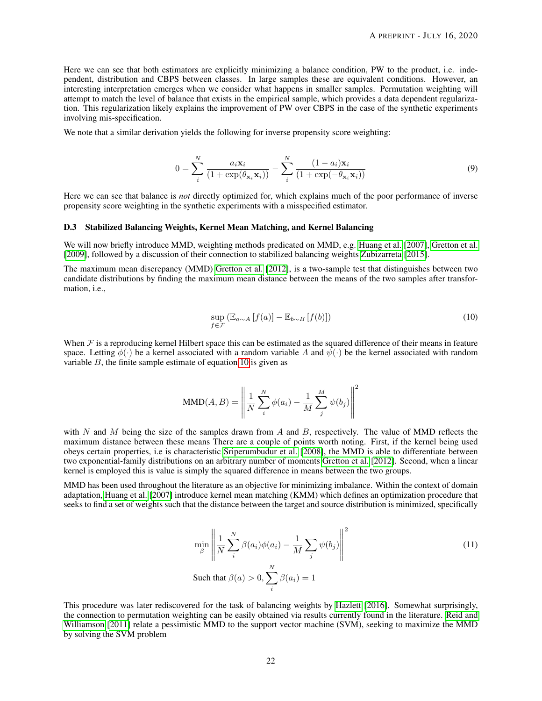Here we can see that both estimators are explicitly minimizing a balance condition, PW to the product, i.e. independent, distribution and CBPS between classes. In large samples these are equivalent conditions. However, an interesting interpretation emerges when we consider what happens in smaller samples. Permutation weighting will attempt to match the level of balance that exists in the empirical sample, which provides a data dependent regularization. This regularization likely explains the improvement of PW over CBPS in the case of the synthetic experiments involving mis-specification.

We note that a similar derivation yields the following for inverse propensity score weighting:

$$
0 = \sum_{i}^{N} \frac{a_i \mathbf{x}_i}{(1 + \exp(\theta_{\mathbf{x}_i} \mathbf{x}_i))} - \sum_{i}^{N} \frac{(1 - a_i) \mathbf{x}_i}{(1 + \exp(-\theta_{\mathbf{x}_i} \mathbf{x}_i))}
$$
(9)

Here we can see that balance is *not* directly optimized for, which explains much of the poor performance of inverse propensity score weighting in the synthetic experiments with a misspecified estimator.

#### D.3 Stabilized Balancing Weights, Kernel Mean Matching, and Kernel Balancing

We will now briefly introduce MMD, weighting methods predicated on MMD, e.g. [Huang et al.](#page-14-18) [\[2007\]](#page-14-18), [Gretton et al.](#page-14-20) [\[2009\]](#page-14-20), followed by a discussion of their connection to stabilized balancing weights [Zubizarreta](#page-13-8) [\[2015\]](#page-13-8).

The maximum mean discrepancy (MMD) [Gretton et al.](#page-14-21) [\[2012\]](#page-14-21), is a two-sample test that distinguishes between two candidate distributions by finding the maximum mean distance between the means of the two samples after transformation, i.e.,

<span id="page-21-0"></span>
$$
\sup_{f \in \mathcal{F}} \left( \mathbb{E}_{a \sim A} \left[ f(a) \right] - \mathbb{E}_{b \sim B} \left[ f(b) \right] \right) \tag{10}
$$

When  $\mathcal F$  is a reproducing kernel Hilbert space this can be estimated as the squared difference of their means in feature space. Letting  $\phi(\cdot)$  be a kernel associated with a random variable A and  $\psi(\cdot)$  be the kernel associated with random variable  $B$ , the finite sample estimate of equation [10](#page-21-0) is given as

$$
\text{MMD}(A, B) = \left\| \frac{1}{N} \sum_{i}^{N} \phi(a_i) - \frac{1}{M} \sum_{j}^{M} \psi(b_j) \right\|^2
$$

with N and M being the size of the samples drawn from A and B, respectively. The value of MMD reflects the maximum distance between these means There are a couple of points worth noting. First, if the kernel being used obeys certain properties, i.e is characteristic [Sriperumbudur et al.](#page-14-22) [\[2008\]](#page-14-22), the MMD is able to differentiate between two exponential-family distributions on an arbitrary number of moments [Gretton et al.](#page-14-21) [\[2012\]](#page-14-21). Second, when a linear kernel is employed this is value is simply the squared difference in means between the two groups.

MMD has been used throughout the literature as an objective for minimizing imbalance. Within the context of domain adaptation, [Huang et al.](#page-14-18) [\[2007\]](#page-14-18) introduce kernel mean matching (KMM) which defines an optimization procedure that seeks to find a set of weights such that the distance between the target and source distribution is minimized, specifically

<span id="page-21-1"></span>
$$
\min_{\beta} \left\| \frac{1}{N} \sum_{i}^{N} \beta(a_i) \phi(a_i) - \frac{1}{M} \sum_{j} \psi(b_j) \right\|^2
$$
\nSuch that

\n
$$
\beta(a) > 0, \sum_{i}^{N} \beta(a_i) = 1
$$
\n(11)

This procedure was later rediscovered for the task of balancing weights by [Hazlett](#page-13-15) [\[2016\]](#page-13-15). Somewhat surprisingly, the connection to permutation weighting can be easily obtained via results currently found in the literature. [Reid and](#page-14-3) [Williamson](#page-14-3) [\[2011\]](#page-14-3) relate a pessimistic MMD to the support vector machine (SVM), seeking to maximize the MMD by solving the SVM problem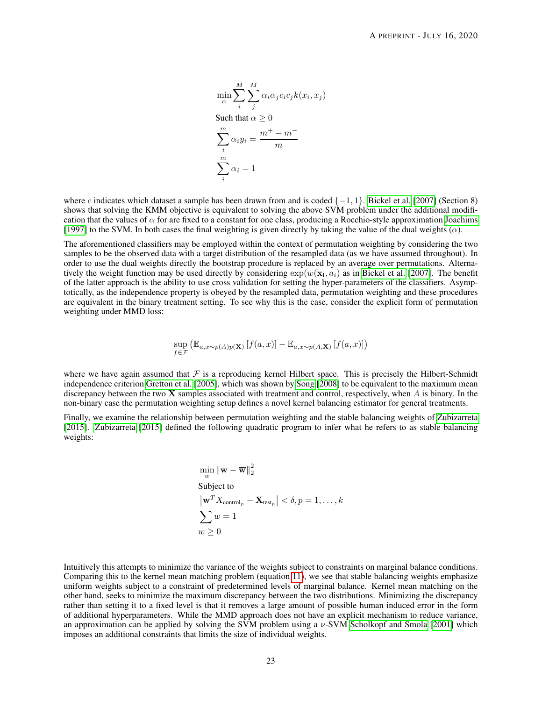$$
\min_{\alpha} \sum_{i}^{M} \sum_{j}^{M} \alpha_{i} \alpha_{j} c_{i} c_{j} k(x_{i}, x_{j})
$$
  
Such that  $\alpha \ge 0$   

$$
\sum_{i}^{m} \alpha_{i} y_{i} = \frac{m^{+} - m^{-}}{m}
$$
  

$$
\sum_{i}^{m} \alpha_{i} = 1
$$

where c indicates which dataset a sample has been drawn from and is coded  $\{-1, 1\}$ . [Bickel et al.](#page-13-14) [\[2007\]](#page-13-14) (Section 8) shows that solving the KMM objective is equivalent to solving the above SVM problem under the additional modification that the values of  $\alpha$  for are fixed to a constant for one class, producing a Rocchio-style approximation [Joachims](#page-15-0) [\[1997\]](#page-15-0) to the SVM. In both cases the final weighting is given directly by taking the value of the dual weights (α).

The aforementioned classifiers may be employed within the context of permutation weighting by considering the two samples to be the observed data with a target distribution of the resampled data (as we have assumed throughout). In order to use the dual weights directly the bootstrap procedure is replaced by an average over permutations. Alternatively the weight function may be used directly by considering  $\exp(w(\mathbf{x_i}, a_i))$  as in [Bickel et al.](#page-13-14) [\[2007\]](#page-13-14). The benefit of the latter approach is the ability to use cross validation for setting the hyper-parameters of the classifiers. Asymptotically, as the independence property is obeyed by the resampled data, permutation weighting and these procedures are equivalent in the binary treatment setting. To see why this is the case, consider the explicit form of permutation weighting under MMD loss:

$$
\sup_{f \in \mathcal{F}} \left( \mathbb{E}_{a,x \sim p(A)p(\mathbf{X})} \left[ f(a,x) \right] - \mathbb{E}_{a,x \sim p(A,\mathbf{X})} \left[ f(a,x) \right] \right)
$$

where we have again assumed that  $F$  is a reproducing kernel Hilbert space. This is precisely the Hilbert-Schmidt independence criterion [Gretton et al.](#page-13-16) [\[2005\]](#page-13-16), which was shown by [Song](#page-15-1) [\[2008\]](#page-15-1) to be equivalent to the maximum mean discrepancy between the two  $X$  samples associated with treatment and control, respectively, when  $A$  is binary. In the non-binary case the permutation weighting setup defines a novel kernel balancing estimator for general treatments.

Finally, we examine the relationship between permutation weighting and the stable balancing weights of [Zubizarreta](#page-13-8) [\[2015\]](#page-13-8). [Zubizarreta](#page-13-8) [\[2015\]](#page-13-8) defined the following quadratic program to infer what he refers to as stable balancing weights:

$$
\min_{w} \|\mathbf{w} - \overline{\mathbf{w}}\|_{2}^{2}
$$
  
Subject to  

$$
|\mathbf{w}^{T} X_{\text{control}_p} - \overline{\mathbf{X}}_{\text{test}_p}| < \delta, p = 1, ..., k
$$

$$
\sum_{w \geq 0} w = 1
$$

Intuitively this attempts to minimize the variance of the weights subject to constraints on marginal balance conditions. Comparing this to the kernel mean matching problem (equation [11\)](#page-21-1), we see that stable balancing weights emphasize uniform weights subject to a constraint of predetermined levels of marginal balance. Kernel mean matching on the other hand, seeks to minimize the maximum discrepancy between the two distributions. Minimizing the discrepancy rather than setting it to a fixed level is that it removes a large amount of possible human induced error in the form of additional hyperparameters. While the MMD approach does not have an explicit mechanism to reduce variance, an approximation can be applied by solving the SVM problem using a  $\nu$ -SVM [Scholkopf and Smola](#page-15-2) [\[2001\]](#page-15-2) which imposes an additional constraints that limits the size of individual weights.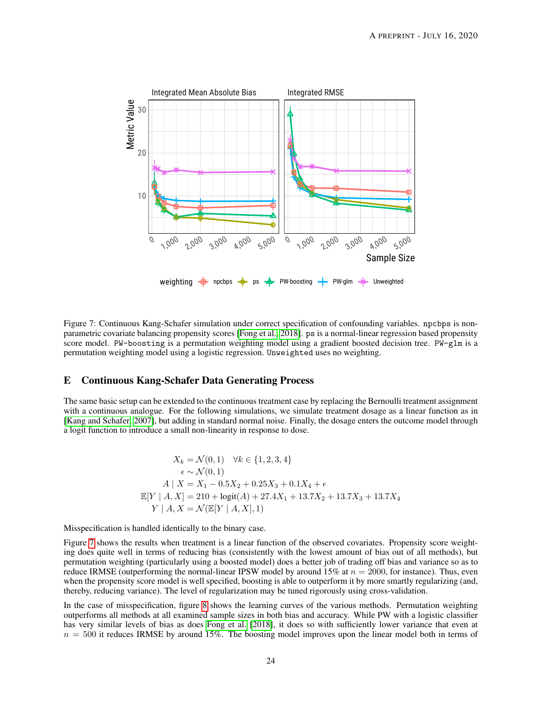<span id="page-23-1"></span>

Figure 7: Continuous Kang-Schafer simulation under correct specification of confounding variables. npcbps is nonparametric covariate balancing propensity scores [\[Fong et al., 2018\]](#page-13-9). ps is a normal-linear regression based propensity score model. PW-boosting is a permutation weighting model using a gradient boosted decision tree. PW-glm is a permutation weighting model using a logistic regression. Unweighted uses no weighting.

## <span id="page-23-0"></span>E Continuous Kang-Schafer Data Generating Process

The same basic setup can be extended to the continuous treatment case by replacing the Bernoulli treatment assignment with a continuous analogue. For the following simulations, we simulate treatment dosage as a linear function as in [\[Kang and Schafer, 2007\]](#page-13-22), but adding in standard normal noise. Finally, the dosage enters the outcome model through a logit function to introduce a small non-linearity in response to dose.

$$
X_k = \mathcal{N}(0, 1) \quad \forall k \in \{1, 2, 3, 4\}
$$

$$
\epsilon \sim \mathcal{N}(0, 1)
$$

$$
A | X = X_1 - 0.5X_2 + 0.25X_3 + 0.1X_4 + \epsilon
$$

$$
\mathbb{E}[Y | A, X] = 210 + \text{logit}(A) + 27.4X_1 + 13.7X_2 + 13.7X_3 + 13.7X_4
$$

$$
Y | A, X = \mathcal{N}(\mathbb{E}[Y | A, X], 1)
$$

Misspecification is handled identically to the binary case.

Figure [7](#page-23-1) shows the results when treatment is a linear function of the observed covariates. Propensity score weighting does quite well in terms of reducing bias (consistently with the lowest amount of bias out of all methods), but permutation weighting (particularly using a boosted model) does a better job of trading off bias and variance so as to reduce IRMSE (outperforming the normal-linear IPSW model by around 15% at  $n = 2000$ , for instance). Thus, even when the propensity score model is well specified, boosting is able to outperform it by more smartly regularizing (and, thereby, reducing variance). The level of regularization may be tuned rigorously using cross-validation.

In the case of misspecification, figure [8](#page-24-0) shows the learning curves of the various methods. Permutation weighting outperforms all methods at all examined sample sizes in both bias and accuracy. While PW with a logistic classifier has very similar levels of bias as does [Fong et al.](#page-13-9) [\[2018\]](#page-13-9), it does so with sufficiently lower variance that even at  $n = 500$  it reduces IRMSE by around 15%. The boosting model improves upon the linear model both in terms of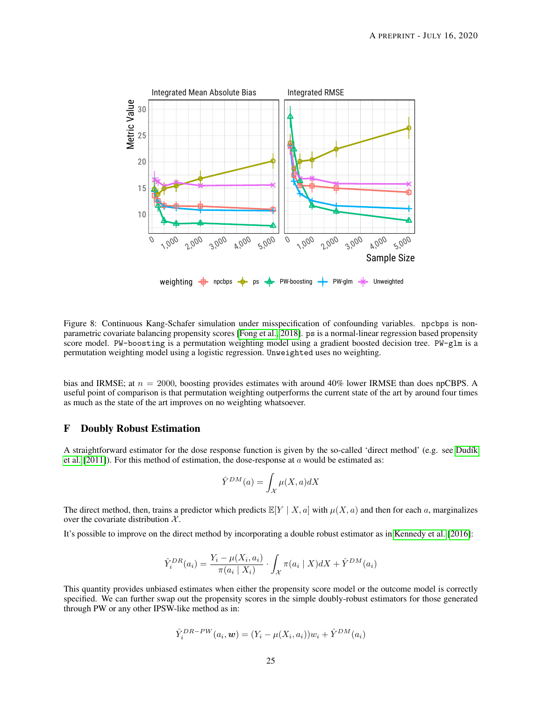<span id="page-24-0"></span>

Figure 8: Continuous Kang-Schafer simulation under misspecification of confounding variables. npcbps is nonparametric covariate balancing propensity scores [\[Fong et al., 2018\]](#page-13-9). ps is a normal-linear regression based propensity score model. PW-boosting is a permutation weighting model using a gradient boosted decision tree. PW-glm is a permutation weighting model using a logistic regression. Unweighted uses no weighting.

bias and IRMSE; at  $n = 2000$ , boosting provides estimates with around 40% lower IRMSE than does npCBPS. A useful point of comparison is that permutation weighting outperforms the current state of the art by around four times as much as the state of the art improves on no weighting whatsoever.

## F Doubly Robust Estimation

A straightforward estimator for the dose response function is given by the so-called 'direct method' (e.g. see Dudík [et al.](#page-13-5)  $[2011]$ ). For this method of estimation, the dose-response at a would be estimated as:

$$
\hat{Y}^{DM}(a) = \int_{\mathcal{X}} \mu(X, a) dX
$$

The direct method, then, trains a predictor which predicts  $\mathbb{E}[Y | X, a]$  with  $\mu(X, a)$  and then for each a, marginalizes over the covariate distribution  $X$ .

It's possible to improve on the direct method by incorporating a double robust estimator as in [Kennedy et al.](#page-13-18) [\[2016\]](#page-13-18):

$$
\hat{Y}_i^{DR}(a_i) = \frac{Y_i - \mu(X_i, a_i)}{\pi(a_i \mid X_i)} \cdot \int_{\mathcal{X}} \pi(a_i \mid X) dX + \hat{Y}^{DM}(a_i)
$$

This quantity provides unbiased estimates when either the propensity score model or the outcome model is correctly specified. We can further swap out the propensity scores in the simple doubly-robust estimators for those generated through PW or any other IPSW-like method as in:

$$
\hat{Y}_i^{DR-PW}(a_i, \boldsymbol{w}) = (Y_i - \mu(X_i, a_i))w_i + \hat{Y}^{DM}(a_i)
$$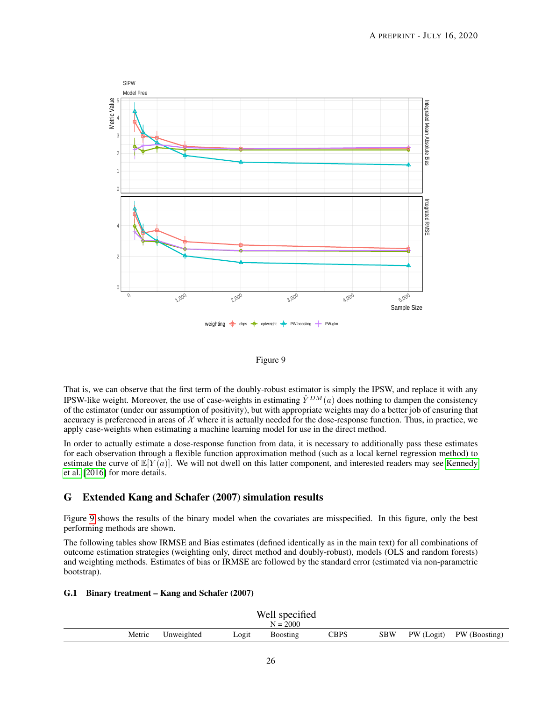<span id="page-25-1"></span>



That is, we can observe that the first term of the doubly-robust estimator is simply the IPSW, and replace it with any IPSW-like weight. Moreover, the use of case-weights in estimating  $\hat{Y}^{DM}(a)$  does nothing to dampen the consistency of the estimator (under our assumption of positivity), but with appropriate weights may do a better job of ensuring that accuracy is preferenced in areas of  $X$  where it is actually needed for the dose-response function. Thus, in practice, we apply case-weights when estimating a machine learning model for use in the direct method.

In order to actually estimate a dose-response function from data, it is necessary to additionally pass these estimates for each observation through a flexible function approximation method (such as a local kernel regression method) to estimate the curve of  $\mathbb{E}[Y(a)]$ . We will not dwell on this latter component, and interested readers may see [Kennedy](#page-13-18) [et al.](#page-13-18) [\[2016\]](#page-13-18) for more details.

# <span id="page-25-0"></span>G Extended Kang and Schafer (2007) simulation results

Figure [9](#page-25-1) shows the results of the binary model when the covariates are misspecified. In this figure, only the best performing methods are shown.

The following tables show IRMSE and Bias estimates (defined identically as in the main text) for all combinations of outcome estimation strategies (weighting only, direct method and doubly-robust), models (OLS and random forests) and weighting methods. Estimates of bias or IRMSE are followed by the standard error (estimated via non-parametric bootstrap).

#### G.1 Binary treatment – Kang and Schafer (2007)

| Well specified |            |       |                 |             |            |  |                          |
|----------------|------------|-------|-----------------|-------------|------------|--|--------------------------|
|                |            |       | $N = 2000$      |             |            |  |                          |
| Metric         | Unweighted | Logit | <b>Boosting</b> | <b>CBPS</b> | <b>SBW</b> |  | PW (Logit) PW (Boosting) |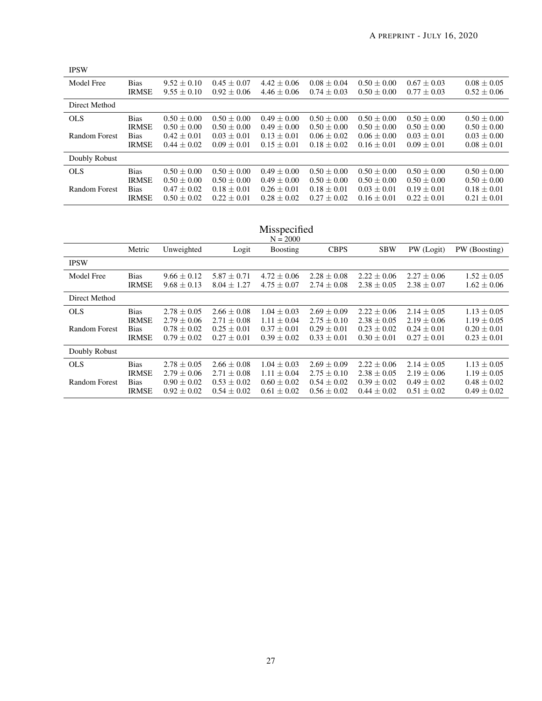| <b>IPSW</b>   |              |                 |                 |                 |                 |                 |                 |                 |
|---------------|--------------|-----------------|-----------------|-----------------|-----------------|-----------------|-----------------|-----------------|
| Model Free    | <b>Bias</b>  | $9.52 + 0.10$   | $0.45 + 0.07$   | $4.42 + 0.06$   | $0.08 + 0.04$   | $0.50 + 0.00$   | $0.67 + 0.03$   | $0.08 + 0.05$   |
|               | <b>IRMSE</b> | $9.55 \pm 0.10$ | $0.92 \pm 0.06$ | $4.46 \pm 0.06$ | $0.74 \pm 0.03$ | $0.50 \pm 0.00$ | $0.77 \pm 0.03$ | $0.52 \pm 0.06$ |
| Direct Method |              |                 |                 |                 |                 |                 |                 |                 |
| <b>OLS</b>    | <b>Bias</b>  | $0.50 \pm 0.00$ | $0.50 + 0.00$   | $0.49 \pm 0.00$ | $0.50 \pm 0.00$ | $0.50 + 0.00$   | $0.50 + 0.00$   | $0.50 + 0.00$   |
|               | <b>IRMSE</b> | $0.50 \pm 0.00$ | $0.50 + 0.00$   | $0.49 \pm 0.00$ | $0.50 + 0.00$   | $0.50 \pm 0.00$ | $0.50 \pm 0.00$ | $0.50 + 0.00$   |
| Random Forest | <b>Bias</b>  | $0.42 + 0.01$   | $0.03 + 0.01$   | $0.13 \pm 0.01$ | $0.06 + 0.02$   | $0.06 + 0.00$   | $0.03 + 0.01$   | $0.03 + 0.00$   |
|               | <b>IRMSE</b> | $0.44 + 0.02$   | $0.09 + 0.01$   | $0.15 + 0.01$   | $0.18 \pm 0.02$ | $0.16 + 0.01$   | $0.09 \pm 0.01$ | $0.08 \pm 0.01$ |
| Doubly Robust |              |                 |                 |                 |                 |                 |                 |                 |
| <b>OLS</b>    | <b>Bias</b>  | $0.50 + 0.00$   | $0.50 + 0.00$   | $0.49 \pm 0.00$ | $0.50 + 0.00$   | $0.50 + 0.00$   | $0.50 + 0.00$   | $0.50 \pm 0.00$ |
|               | <b>IRMSE</b> | $0.50 + 0.00$   | $0.50 + 0.00$   | $0.49 + 0.00$   | $0.50 + 0.00$   | $0.50 + 0.00$   | $0.50 + 0.00$   | $0.50 + 0.00$   |
| Random Forest | <b>Bias</b>  | $0.47 + 0.02$   | $0.18 + 0.01$   | $0.26 + 0.01$   | $0.18 \pm 0.01$ | $0.03 + 0.01$   | $0.19 + 0.01$   | $0.18 + 0.01$   |
|               | <b>IRMSE</b> | $0.50 + 0.02$   | $0.22 + 0.01$   | $0.28 + 0.02$   | $0.27 + 0.02$   | $0.16 + 0.01$   | $0.22 + 0.01$   | $0.21 \pm 0.01$ |

| Misspecified<br>$N = 2000$ |                                             |                                                       |                                                       |                                                       |                                                       |                                                       |                                                       |                                                       |
|----------------------------|---------------------------------------------|-------------------------------------------------------|-------------------------------------------------------|-------------------------------------------------------|-------------------------------------------------------|-------------------------------------------------------|-------------------------------------------------------|-------------------------------------------------------|
|                            | Metric                                      | Unweighted                                            | Logit                                                 | <b>Boosting</b>                                       | <b>CBPS</b>                                           | <b>SBW</b>                                            | PW (Logit)                                            | PW (Boosting)                                         |
| <b>IPSW</b>                |                                             |                                                       |                                                       |                                                       |                                                       |                                                       |                                                       |                                                       |
| Model Free                 | <b>Bias</b><br><b>IRMSE</b>                 | $9.66 \pm 0.12$<br>$9.68 \pm 0.13$                    | $5.87 \pm 0.71$<br>$8.04 \pm 1.27$                    | $4.72 \pm 0.06$<br>$4.75 \pm 0.07$                    | $2.28 \pm 0.08$<br>$2.74 \pm 0.08$                    | $2.22 \pm 0.06$<br>$2.38 \pm 0.05$                    | $2.27 \pm 0.06$<br>$2.38 \pm 0.07$                    | $1.52 \pm 0.05$<br>$1.62 \pm 0.06$                    |
| Direct Method              |                                             |                                                       |                                                       |                                                       |                                                       |                                                       |                                                       |                                                       |
| <b>OLS</b>                 | <b>Bias</b>                                 | $2.78 \pm 0.05$                                       | $2.66 \pm 0.08$                                       | $1.04 + 0.03$                                         | $2.69 \pm 0.09$                                       | $2.22 \pm 0.06$                                       | $2.14 \pm 0.05$                                       | $1.13 \pm 0.05$                                       |
| <b>Random Forest</b>       | <b>IRMSE</b><br><b>Bias</b><br><b>IRMSE</b> | $2.79 \pm 0.06$<br>$0.78 \pm 0.02$<br>$0.79 \pm 0.02$ | $2.71 \pm 0.08$<br>$0.25 \pm 0.01$<br>$0.27 \pm 0.01$ | $1.11 \pm 0.04$<br>$0.37 \pm 0.01$<br>$0.39 \pm 0.02$ | $2.75 \pm 0.10$<br>$0.29 \pm 0.01$<br>$0.33 \pm 0.01$ | $2.38 \pm 0.05$<br>$0.23 \pm 0.02$<br>$0.30 \pm 0.01$ | $2.19 \pm 0.06$<br>$0.24 \pm 0.01$<br>$0.27 \pm 0.01$ | $1.19 \pm 0.05$<br>$0.20 \pm 0.01$<br>$0.23 \pm 0.01$ |
| Doubly Robust              |                                             |                                                       |                                                       |                                                       |                                                       |                                                       |                                                       |                                                       |
| <b>OLS</b>                 | <b>Bias</b><br><b>IRMSE</b>                 | $2.78 \pm 0.05$<br>$2.79 \pm 0.06$                    | $2.66 + 0.08$<br>$2.71 + 0.08$                        | $1.04 + 0.03$<br>$1.11 + 0.04$                        | $2.69 \pm 0.09$<br>$2.75 \pm 0.10$                    | $2.22 + 0.06$<br>$2.38 \pm 0.05$                      | $2.14 \pm 0.05$<br>$2.19 + 0.06$                      | $1.13 \pm 0.05$<br>$1.19 \pm 0.05$                    |
| Random Forest              | <b>Bias</b><br><b>IRMSE</b>                 | $0.90 \pm 0.02$<br>$0.92 \pm 0.02$                    | $0.53 \pm 0.02$<br>$0.54 \pm 0.02$                    | $0.60 \pm 0.02$<br>$0.61 \pm 0.02$                    | $0.54 \pm 0.02$<br>$0.56 \pm 0.02$                    | $0.39 \pm 0.02$<br>$0.44 \pm 0.02$                    | $0.49 \pm 0.02$<br>$0.51 \pm 0.02$                    | $0.48 \pm 0.02$<br>$0.49 \pm 0.02$                    |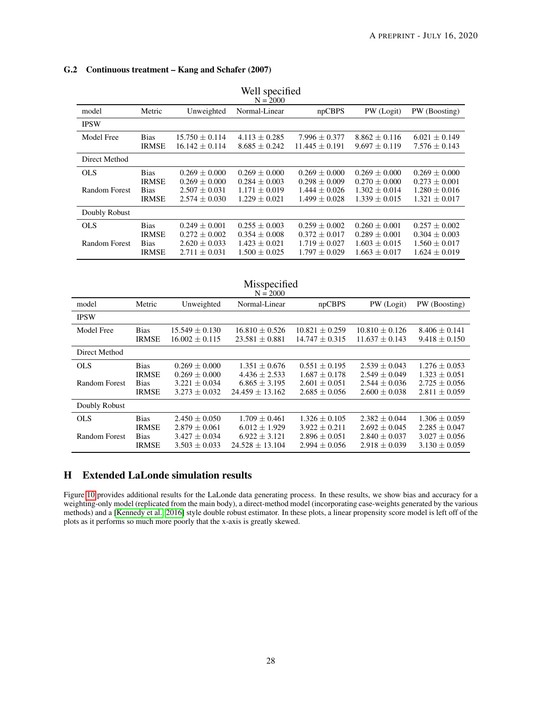# G.2 Continuous treatment – Kang and Schafer (2007)

| Well specified<br>$N = 2000$ |                                                            |                                                                                  |                                                                                  |                                                                                |                                                                                  |                                                                                  |  |  |
|------------------------------|------------------------------------------------------------|----------------------------------------------------------------------------------|----------------------------------------------------------------------------------|--------------------------------------------------------------------------------|----------------------------------------------------------------------------------|----------------------------------------------------------------------------------|--|--|
| model                        | Metric                                                     | Unweighted                                                                       | Normal-Linear                                                                    | npCBPS                                                                         | PW (Logit)                                                                       | PW (Boosting)                                                                    |  |  |
| <b>IPSW</b>                  |                                                            |                                                                                  |                                                                                  |                                                                                |                                                                                  |                                                                                  |  |  |
| Model Free                   | <b>Bias</b><br><b>IRMSE</b>                                | $15.750 + 0.114$<br>$16.142 \pm 0.114$                                           | $4.113 \pm 0.285$<br>$8.685 \pm 0.242$                                           | $7.996 \pm 0.377$<br>$11.445 + 0.191$                                          | $8.862 + 0.116$<br>$9.697 \pm 0.119$                                             | $6.021 \pm 0.149$<br>$7.576 \pm 0.143$                                           |  |  |
| Direct Method                |                                                            |                                                                                  |                                                                                  |                                                                                |                                                                                  |                                                                                  |  |  |
| <b>OLS</b><br>Random Forest  | <b>Bias</b><br><b>IRMSE</b><br><b>Bias</b><br><b>IRMSE</b> | $0.269 \pm 0.000$<br>$0.269 \pm 0.000$<br>$2.507 \pm 0.031$<br>$2.574 \pm 0.030$ | $0.269 \pm 0.000$<br>$0.284 + 0.003$<br>$1.171 \pm 0.019$<br>$1.229 \pm 0.021$   | $0.269 \pm 0.000$<br>$0.298 + 0.009$<br>$1.444 \pm 0.026$<br>$1.499 \pm 0.028$ | $0.269 \pm 0.000$<br>$0.270 + 0.000$<br>$1.302 \pm 0.014$<br>$1.339 \pm 0.015$   | $0.269 \pm 0.000$<br>$0.273 + 0.001$<br>$1.280 \pm 0.016$<br>$1.321 \pm 0.017$   |  |  |
| Doubly Robust                |                                                            |                                                                                  |                                                                                  |                                                                                |                                                                                  |                                                                                  |  |  |
| <b>OLS</b><br>Random Forest  | <b>Bias</b><br><b>IRMSE</b><br><b>Bias</b><br><b>IRMSE</b> | $0.249 \pm 0.001$<br>$0.272 \pm 0.002$<br>$2.620 \pm 0.033$<br>$2.711 \pm 0.031$ | $0.255 \pm 0.003$<br>$0.354 \pm 0.008$<br>$1.423 \pm 0.021$<br>$1.500 \pm 0.025$ | $0.259 + 0.002$<br>$0.372 \pm 0.017$<br>$1.719 \pm 0.027$<br>$1.797 \pm 0.029$ | $0.260 \pm 0.001$<br>$0.289 \pm 0.001$<br>$1.603 \pm 0.015$<br>$1.663 \pm 0.017$ | $0.257 \pm 0.002$<br>$0.304 \pm 0.003$<br>$1.560 \pm 0.017$<br>$1.624 \pm 0.019$ |  |  |

| Well specified |  |
|----------------|--|
| $N = 2000$     |  |

| Misspecified<br>$N = 2000$  |                                                            |                                                                                |                                                                                  |                                                                                |                                                                                |                                                                                |  |  |
|-----------------------------|------------------------------------------------------------|--------------------------------------------------------------------------------|----------------------------------------------------------------------------------|--------------------------------------------------------------------------------|--------------------------------------------------------------------------------|--------------------------------------------------------------------------------|--|--|
| model                       | Metric                                                     | Unweighted                                                                     | Normal-Linear                                                                    | npCBPS                                                                         | PW (Logit)                                                                     | PW (Boosting)                                                                  |  |  |
| <b>IPSW</b>                 |                                                            |                                                                                |                                                                                  |                                                                                |                                                                                |                                                                                |  |  |
| Model Free                  | <b>Bias</b><br><b>IRMSE</b>                                | $15.549 + 0.130$<br>$16.002 \pm 0.115$                                         | $16.810 + 0.526$<br>$23.581 \pm 0.881$                                           | $10.821 + 0.259$<br>$14.747 \pm 0.315$                                         | $10.810 + 0.126$<br>$11.637 \pm 0.143$                                         | $8.406 + 0.141$<br>$9.418 \pm 0.150$                                           |  |  |
| Direct Method               |                                                            |                                                                                |                                                                                  |                                                                                |                                                                                |                                                                                |  |  |
| <b>OLS</b><br>Random Forest | <b>Bias</b><br><b>IRMSE</b><br><b>Bias</b><br><b>IRMSE</b> | $0.269 + 0.000$<br>$0.269 \pm 0.000$<br>$3.221 \pm 0.034$<br>$3.273 \pm 0.032$ | $1.351 + 0.676$<br>$4.436 \pm 2.533$<br>$6.865 \pm 3.195$<br>$24.459 \pm 13.162$ | $0.551 + 0.195$<br>$1.687 \pm 0.178$<br>$2.601 \pm 0.051$<br>$2.685 \pm 0.056$ | $2.539 + 0.043$<br>$2.549 \pm 0.049$<br>$2.544 \pm 0.036$<br>$2.600 \pm 0.038$ | $1.276 + 0.053$<br>$1.323 \pm 0.051$<br>$2.725 \pm 0.056$<br>$2.811 \pm 0.059$ |  |  |
| Doubly Robust               |                                                            |                                                                                |                                                                                  |                                                                                |                                                                                |                                                                                |  |  |
| <b>OLS</b><br>Random Forest | <b>Bias</b><br><b>IRMSE</b><br><b>Bias</b><br><b>IRMSE</b> | $2.450 + 0.050$<br>$2.879 \pm 0.061$<br>$3.427 + 0.034$<br>$3.503 \pm 0.033$   | $1.709 + 0.461$<br>$6.012 \pm 1.929$<br>$6.922 + 3.121$<br>$24.528 \pm 13.104$   | $1.326 + 0.105$<br>$3.922 \pm 0.211$<br>$2.896 + 0.051$<br>$2.994 \pm 0.056$   | $2.382 + 0.044$<br>$2.692 \pm 0.045$<br>$2.840 + 0.037$<br>$2.918 \pm 0.039$   | $1.306 \pm 0.059$<br>$2.285 \pm 0.047$<br>$3.027 + 0.056$<br>$3.130 \pm 0.059$ |  |  |

# <span id="page-27-0"></span>H Extended LaLonde simulation results

Figure [10](#page-28-0) provides additional results for the LaLonde data generating process. In these results, we show bias and accuracy for a weighting-only model (replicated from the main body), a direct-method model (incorporating case-weights generated by the various methods) and a [\[Kennedy et al., 2016\]](#page-13-18) style double robust estimator. In these plots, a linear propensity score model is left off of the plots as it performs so much more poorly that the x-axis is greatly skewed.